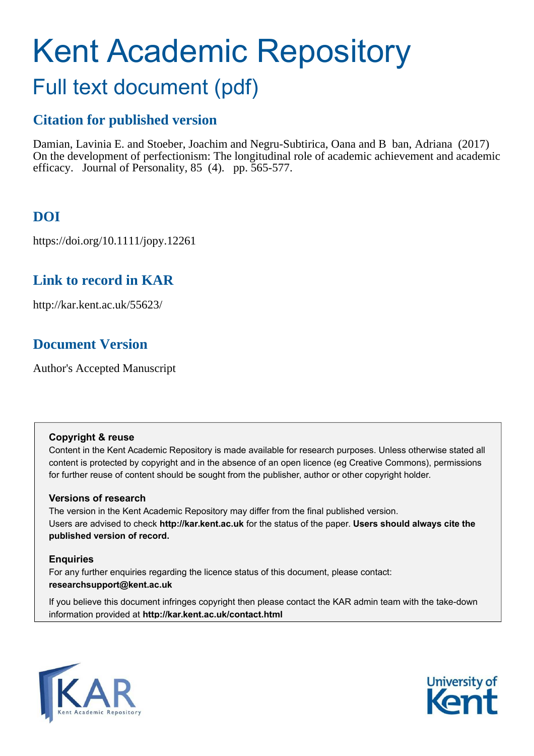# Kent Academic Repository

## Full text document (pdf)

## **Citation for published version**

Damian, Lavinia E. and Stoeber, Joachim and Negru-Subtirica, Oana and B ban, Adriana (2017) On the development of perfectionism: The longitudinal role of academic achievement and academic efficacy. Journal of Personality, 85 (4). pp. 565-577.

## **DOI**

https://doi.org/10.1111/jopy.12261

## **Link to record in KAR**

http://kar.kent.ac.uk/55623/

## **Document Version**

Author's Accepted Manuscript

#### **Copyright & reuse**

Content in the Kent Academic Repository is made available for research purposes. Unless otherwise stated all content is protected by copyright and in the absence of an open licence (eg Creative Commons), permissions for further reuse of content should be sought from the publisher, author or other copyright holder.

#### **Versions of research**

The version in the Kent Academic Repository may differ from the final published version. Users are advised to check **http://kar.kent.ac.uk** for the status of the paper. **Users should always cite the published version of record.**

#### **Enquiries**

For any further enquiries regarding the licence status of this document, please contact: **researchsupport@kent.ac.uk**

If you believe this document infringes copyright then please contact the KAR admin team with the take-down information provided at **http://kar.kent.ac.uk/contact.html**



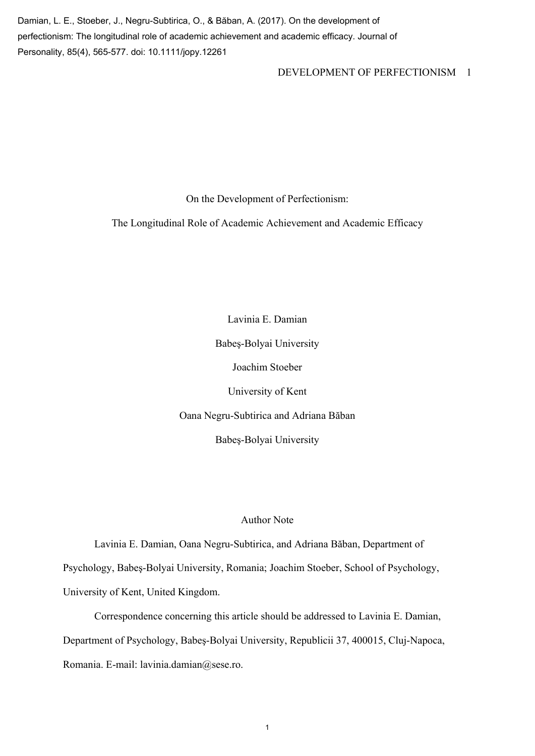Damian, L. E., Stoeber, J., Negru-Subtirica, O., & Băban, A. (2017). On the development of perfectionism: The longitudinal role of academic achievement and academic efficacy. Journal of Personality, 85(4), 565-577. doi: 10.1111/jopy.12261

#### DEVELOPMENT OF PERFECTIONISM 1

On the Development of Perfectionism:

The Longitudinal Role of Academic Achievement and Academic Efficacy

Lavinia E. Damian Babeş-Bolyai University Joachim Stoeber University of Kent Oana Negru-Subtirica and Adriana Băban Babeş-Bolyai University

#### Author Note

Lavinia E. Damian, Oana Negru-Subtirica, and Adriana Băban, Department of Psychology, Babeş-Bolyai University, Romania; Joachim Stoeber, School of Psychology, University of Kent, United Kingdom.

Correspondence concerning this article should be addressed to Lavinia E. Damian, Department of Psychology, Babeş-Bolyai University, Republicii 37, 400015, Cluj-Napoca, Romania. E-mail: lavinia.damian@sese.ro.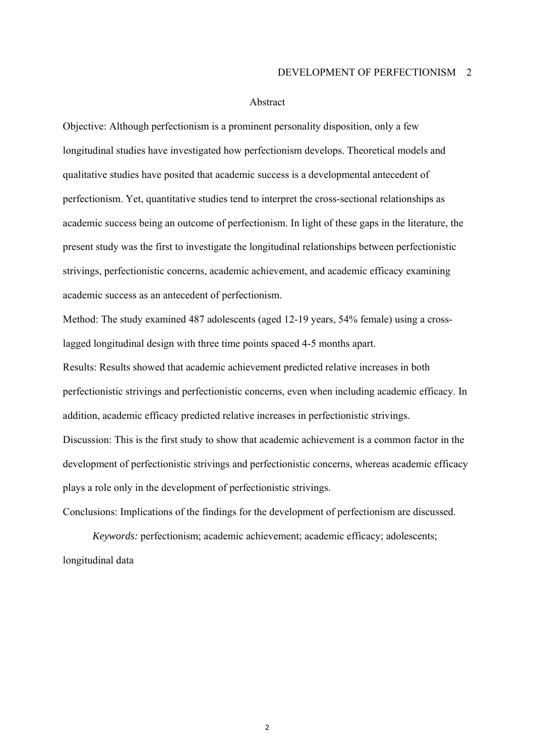#### Abstract

Objective: Although perfectionism is a prominent personality disposition, only a few longitudinal studies have investigated how perfectionism develops. Theoretical models and qualitative studies have posited that academic success is a developmental antecedent of perfectionism. Yet, quantitative studies tend to interpret the cross-sectional relationships as academic success being an outcome of perfectionism. In light of these gaps in the literature, the present study was the first to investigate the longitudinal relationships between perfectionistic strivings, perfectionistic concerns, academic achievement, and academic efficacy examining academic success as an antecedent of perfectionism.

Method: The study examined 487 adolescents (aged 12-19 years, 54% female) using a crosslagged longitudinal design with three time points spaced 4-5 months apart.

Results: Results showed that academic achievement predicted relative increases in both perfectionistic strivings and perfectionistic concerns, even when including academic efficacy. In addition, academic efficacy predicted relative increases in perfectionistic strivings. Discussion: This is the first study to show that academic achievement is a common factor in the development of perfectionistic strivings and perfectionistic concerns, whereas academic efficacy plays a role only in the development of perfectionistic strivings.

Conclusions: Implications of the findings for the development of perfectionism are discussed.

*Keywords:* perfectionism; academic achievement; academic efficacy; adolescents; longitudinal data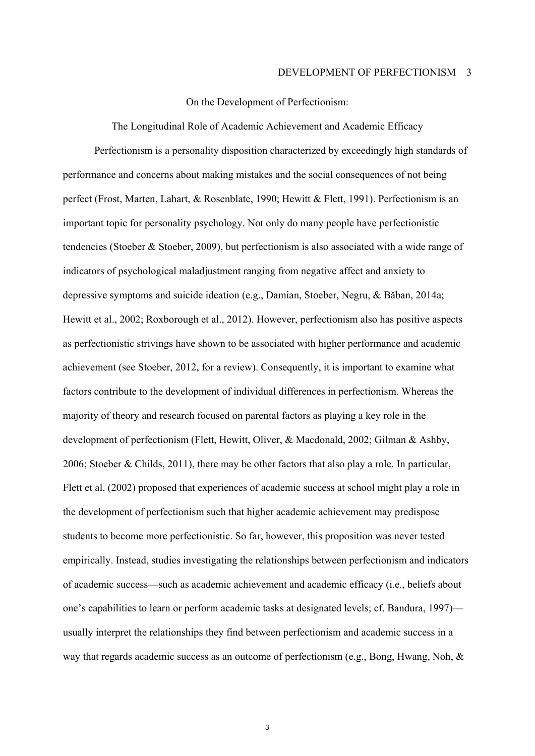On the Development of Perfectionism:

The Longitudinal Role of Academic Achievement and Academic Efficacy Perfectionism is a personality disposition characterized by exceedingly high standards of performance and concerns about making mistakes and the social consequences of not being perfect (Frost, Marten, Lahart, & Rosenblate, 1990; Hewitt & Flett, 1991). Perfectionism is an important topic for personality psychology. Not only do many people have perfectionistic tendencies (Stoeber & Stoeber, 2009), but perfectionism is also associated with a wide range of indicators of psychological maladjustment ranging from negative affect and anxiety to depressive symptoms and suicide ideation (e.g., Damian, Stoeber, Negru, & Băban, 2014a; Hewitt et al., 2002; Roxborough et al., 2012). However, perfectionism also has positive aspects as perfectionistic strivings have shown to be associated with higher performance and academic achievement (see Stoeber, 2012, for a review). Consequently, it is important to examine what factors contribute to the development of individual differences in perfectionism. Whereas the majority of theory and research focused on parental factors as playing a key role in the development of perfectionism (Flett, Hewitt, Oliver, & Macdonald, 2002; Gilman & Ashby, 2006; Stoeber & Childs, 2011), there may be other factors that also play a role. In particular, Flett et al. (2002) proposed that experiences of academic success at school might play a role in the development of perfectionism such that higher academic achievement may predispose students to become more perfectionistic. So far, however, this proposition was never tested empirically. Instead, studies investigating the relationships between perfectionism and indicators of academic success—such as academic achievement and academic efficacy (i.e., beliefs about one's capabilities to learn or perform academic tasks at designated levels; cf. Bandura, 1997) usually interpret the relationships they find between perfectionism and academic success in a way that regards academic success as an outcome of perfectionism (e.g., Bong, Hwang, Noh, &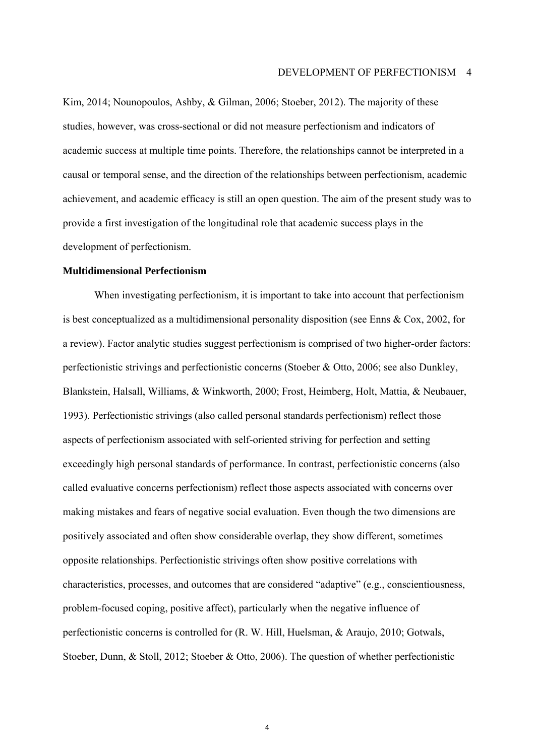Kim, 2014; Nounopoulos, Ashby, & Gilman, 2006; Stoeber, 2012). The majority of these studies, however, was cross-sectional or did not measure perfectionism and indicators of academic success at multiple time points. Therefore, the relationships cannot be interpreted in a causal or temporal sense, and the direction of the relationships between perfectionism, academic achievement, and academic efficacy is still an open question. The aim of the present study was to provide a first investigation of the longitudinal role that academic success plays in the development of perfectionism.

#### **Multidimensional Perfectionism**

When investigating perfectionism, it is important to take into account that perfectionism is best conceptualized as a multidimensional personality disposition (see Enns & Cox, 2002, for a review). Factor analytic studies suggest perfectionism is comprised of two higher-order factors: perfectionistic strivings and perfectionistic concerns (Stoeber & Otto, 2006; see also Dunkley, Blankstein, Halsall, Williams, & Winkworth, 2000; Frost, Heimberg, Holt, Mattia, & Neubauer, 1993). Perfectionistic strivings (also called personal standards perfectionism) reflect those aspects of perfectionism associated with self-oriented striving for perfection and setting exceedingly high personal standards of performance. In contrast, perfectionistic concerns (also called evaluative concerns perfectionism) reflect those aspects associated with concerns over making mistakes and fears of negative social evaluation. Even though the two dimensions are positively associated and often show considerable overlap, they show different, sometimes opposite relationships. Perfectionistic strivings often show positive correlations with characteristics, processes, and outcomes that are considered "adaptive" (e.g., conscientiousness, problem-focused coping, positive affect), particularly when the negative influence of perfectionistic concerns is controlled for (R. W. Hill, Huelsman, & Araujo, 2010; Gotwals, Stoeber, Dunn, & Stoll, 2012; Stoeber & Otto, 2006). The question of whether perfectionistic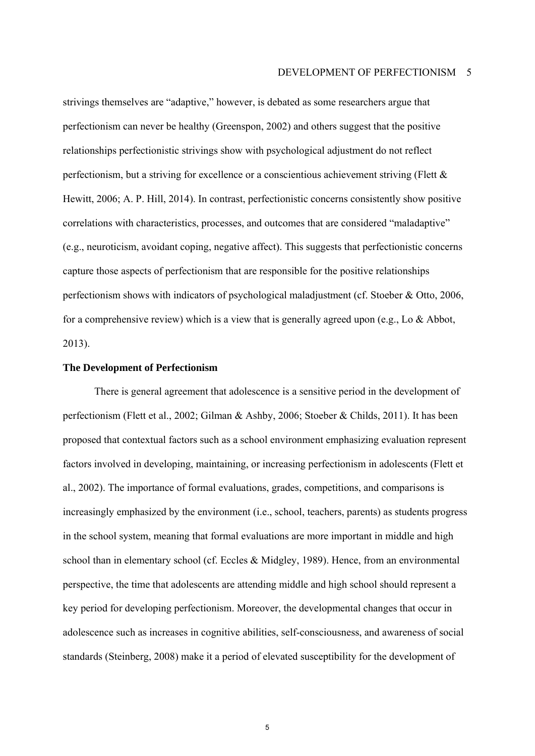strivings themselves are "adaptive," however, is debated as some researchers argue that perfectionism can never be healthy (Greenspon, 2002) and others suggest that the positive relationships perfectionistic strivings show with psychological adjustment do not reflect perfectionism, but a striving for excellence or a conscientious achievement striving (Flett & Hewitt, 2006; A. P. Hill, 2014). In contrast, perfectionistic concerns consistently show positive correlations with characteristics, processes, and outcomes that are considered "maladaptive" (e.g., neuroticism, avoidant coping, negative affect). This suggests that perfectionistic concerns capture those aspects of perfectionism that are responsible for the positive relationships perfectionism shows with indicators of psychological maladjustment (cf. Stoeber & Otto, 2006, for a comprehensive review) which is a view that is generally agreed upon (e.g., Lo & Abbot, 2013).

#### **The Development of Perfectionism**

There is general agreement that adolescence is a sensitive period in the development of perfectionism (Flett et al., 2002; Gilman & Ashby, 2006; Stoeber & Childs, 2011). It has been proposed that contextual factors such as a school environment emphasizing evaluation represent factors involved in developing, maintaining, or increasing perfectionism in adolescents (Flett et al., 2002). The importance of formal evaluations, grades, competitions, and comparisons is increasingly emphasized by the environment (i.e., school, teachers, parents) as students progress in the school system, meaning that formal evaluations are more important in middle and high school than in elementary school (cf. Eccles & Midgley, 1989). Hence, from an environmental perspective, the time that adolescents are attending middle and high school should represent a key period for developing perfectionism. Moreover, the developmental changes that occur in adolescence such as increases in cognitive abilities, self-consciousness, and awareness of social standards (Steinberg, 2008) make it a period of elevated susceptibility for the development of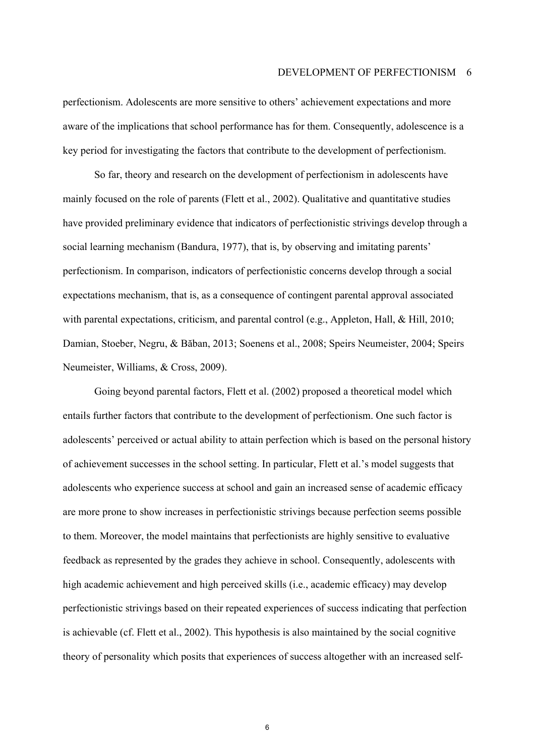perfectionism. Adolescents are more sensitive to others' achievement expectations and more aware of the implications that school performance has for them. Consequently, adolescence is a key period for investigating the factors that contribute to the development of perfectionism.

So far, theory and research on the development of perfectionism in adolescents have mainly focused on the role of parents (Flett et al., 2002). Qualitative and quantitative studies have provided preliminary evidence that indicators of perfectionistic strivings develop through a social learning mechanism (Bandura, 1977), that is, by observing and imitating parents<sup>'</sup> perfectionism. In comparison, indicators of perfectionistic concerns develop through a social expectations mechanism, that is, as a consequence of contingent parental approval associated with parental expectations, criticism, and parental control (e.g., Appleton, Hall, & Hill, 2010; Damian, Stoeber, Negru, & Băban, 2013; Soenens et al., 2008; Speirs Neumeister, 2004; Speirs Neumeister, Williams, & Cross, 2009).

Going beyond parental factors, Flett et al. (2002) proposed a theoretical model which entails further factors that contribute to the development of perfectionism. One such factor is adolescents' perceived or actual ability to attain perfection which is based on the personal history of achievement successes in the school setting. In particular, Flett et al.'s model suggests that adolescents who experience success at school and gain an increased sense of academic efficacy are more prone to show increases in perfectionistic strivings because perfection seems possible to them. Moreover, the model maintains that perfectionists are highly sensitive to evaluative feedback as represented by the grades they achieve in school. Consequently, adolescents with high academic achievement and high perceived skills (i.e., academic efficacy) may develop perfectionistic strivings based on their repeated experiences of success indicating that perfection is achievable (cf. Flett et al., 2002). This hypothesis is also maintained by the social cognitive theory of personality which posits that experiences of success altogether with an increased self-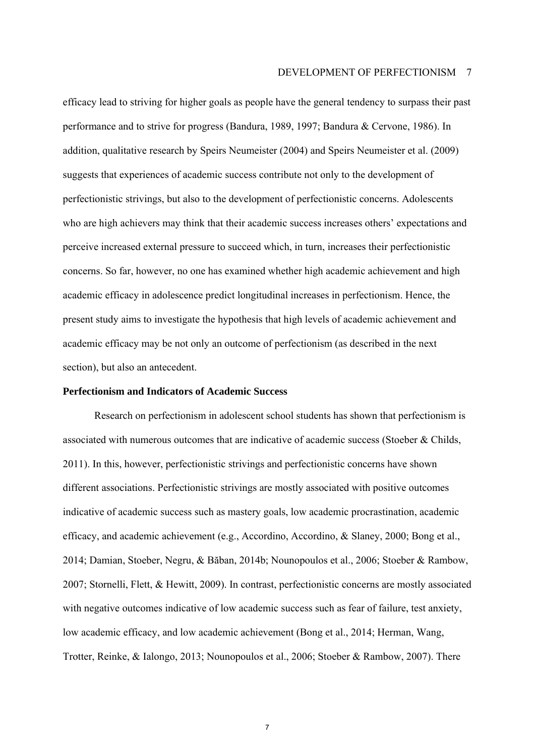#### DEVELOPMENT OF PERFECTIONISM 7

efficacy lead to striving for higher goals as people have the general tendency to surpass their past performance and to strive for progress (Bandura, 1989, 1997; Bandura & Cervone, 1986). In addition, qualitative research by Speirs Neumeister (2004) and Speirs Neumeister et al. (2009) suggests that experiences of academic success contribute not only to the development of perfectionistic strivings, but also to the development of perfectionistic concerns. Adolescents who are high achievers may think that their academic success increases others' expectations and perceive increased external pressure to succeed which, in turn, increases their perfectionistic concerns. So far, however, no one has examined whether high academic achievement and high academic efficacy in adolescence predict longitudinal increases in perfectionism. Hence, the present study aims to investigate the hypothesis that high levels of academic achievement and academic efficacy may be not only an outcome of perfectionism (as described in the next section), but also an antecedent.

#### **Perfectionism and Indicators of Academic Success**

Research on perfectionism in adolescent school students has shown that perfectionism is associated with numerous outcomes that are indicative of academic success (Stoeber & Childs, 2011). In this, however, perfectionistic strivings and perfectionistic concerns have shown different associations. Perfectionistic strivings are mostly associated with positive outcomes indicative of academic success such as mastery goals, low academic procrastination, academic efficacy, and academic achievement (e.g., Accordino, Accordino, & Slaney, 2000; Bong et al., 2014; Damian, Stoeber, Negru, & Băban, 2014b; Nounopoulos et al., 2006; Stoeber & Rambow, 2007; Stornelli, Flett, & Hewitt, 2009). In contrast, perfectionistic concerns are mostly associated with negative outcomes indicative of low academic success such as fear of failure, test anxiety, low academic efficacy, and low academic achievement (Bong et al., 2014; Herman, Wang, Trotter, Reinke, & Ialongo, 2013; Nounopoulos et al., 2006; Stoeber & Rambow, 2007). There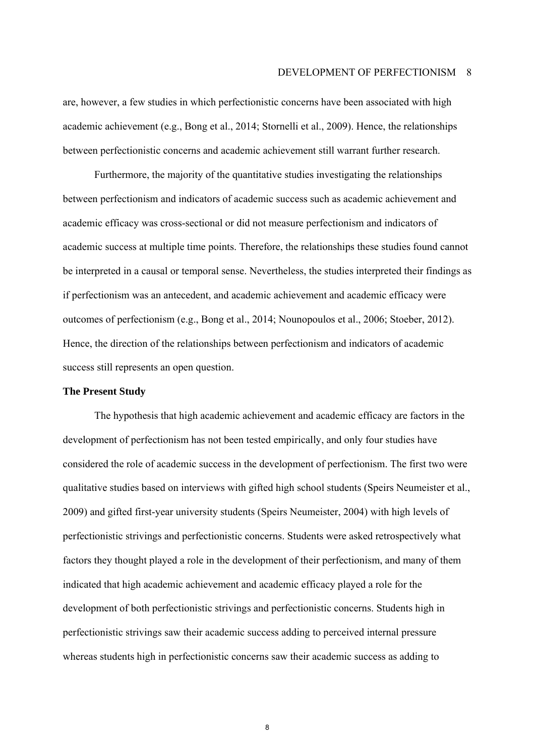are, however, a few studies in which perfectionistic concerns have been associated with high academic achievement (e.g., Bong et al., 2014; Stornelli et al., 2009). Hence, the relationships between perfectionistic concerns and academic achievement still warrant further research.

Furthermore, the majority of the quantitative studies investigating the relationships between perfectionism and indicators of academic success such as academic achievement and academic efficacy was cross-sectional or did not measure perfectionism and indicators of academic success at multiple time points. Therefore, the relationships these studies found cannot be interpreted in a causal or temporal sense. Nevertheless, the studies interpreted their findings as if perfectionism was an antecedent, and academic achievement and academic efficacy were outcomes of perfectionism (e.g., Bong et al., 2014; Nounopoulos et al., 2006; Stoeber, 2012). Hence, the direction of the relationships between perfectionism and indicators of academic success still represents an open question.

#### **The Present Study**

The hypothesis that high academic achievement and academic efficacy are factors in the development of perfectionism has not been tested empirically, and only four studies have considered the role of academic success in the development of perfectionism. The first two were qualitative studies based on interviews with gifted high school students (Speirs Neumeister et al., 2009) and gifted first-year university students (Speirs Neumeister, 2004) with high levels of perfectionistic strivings and perfectionistic concerns. Students were asked retrospectively what factors they thought played a role in the development of their perfectionism, and many of them indicated that high academic achievement and academic efficacy played a role for the development of both perfectionistic strivings and perfectionistic concerns. Students high in perfectionistic strivings saw their academic success adding to perceived internal pressure whereas students high in perfectionistic concerns saw their academic success as adding to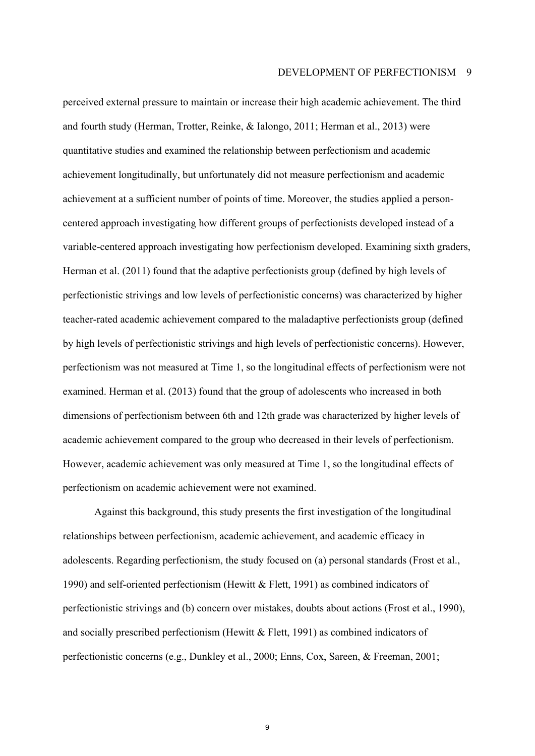perceived external pressure to maintain or increase their high academic achievement. The third and fourth study (Herman, Trotter, Reinke, & Ialongo, 2011; Herman et al., 2013) were quantitative studies and examined the relationship between perfectionism and academic achievement longitudinally, but unfortunately did not measure perfectionism and academic achievement at a sufficient number of points of time. Moreover, the studies applied a personcentered approach investigating how different groups of perfectionists developed instead of a variable-centered approach investigating how perfectionism developed. Examining sixth graders, Herman et al. (2011) found that the adaptive perfectionists group (defined by high levels of perfectionistic strivings and low levels of perfectionistic concerns) was characterized by higher teacher-rated academic achievement compared to the maladaptive perfectionists group (defined by high levels of perfectionistic strivings and high levels of perfectionistic concerns). However, perfectionism was not measured at Time 1, so the longitudinal effects of perfectionism were not examined. Herman et al. (2013) found that the group of adolescents who increased in both dimensions of perfectionism between 6th and 12th grade was characterized by higher levels of academic achievement compared to the group who decreased in their levels of perfectionism. However, academic achievement was only measured at Time 1, so the longitudinal effects of perfectionism on academic achievement were not examined.

Against this background, this study presents the first investigation of the longitudinal relationships between perfectionism, academic achievement, and academic efficacy in adolescents. Regarding perfectionism, the study focused on (a) personal standards (Frost et al., 1990) and self-oriented perfectionism (Hewitt & Flett, 1991) as combined indicators of perfectionistic strivings and (b) concern over mistakes, doubts about actions (Frost et al., 1990), and socially prescribed perfectionism (Hewitt & Flett, 1991) as combined indicators of perfectionistic concerns (e.g., Dunkley et al., 2000; Enns, Cox, Sareen, & Freeman, 2001;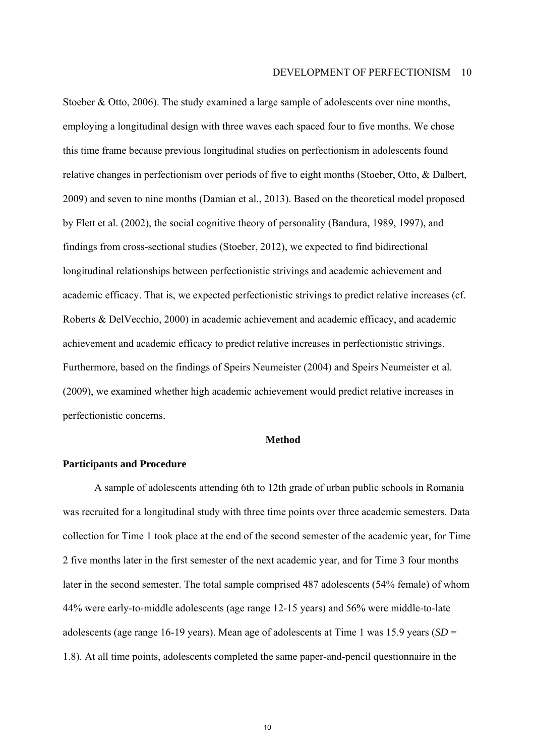Stoeber & Otto, 2006). The study examined a large sample of adolescents over nine months, employing a longitudinal design with three waves each spaced four to five months. We chose this time frame because previous longitudinal studies on perfectionism in adolescents found relative changes in perfectionism over periods of five to eight months (Stoeber, Otto, & Dalbert, 2009) and seven to nine months (Damian et al., 2013). Based on the theoretical model proposed by Flett et al. (2002), the social cognitive theory of personality (Bandura, 1989, 1997), and findings from cross-sectional studies (Stoeber, 2012), we expected to find bidirectional longitudinal relationships between perfectionistic strivings and academic achievement and academic efficacy. That is, we expected perfectionistic strivings to predict relative increases (cf. Roberts & DelVecchio, 2000) in academic achievement and academic efficacy, and academic achievement and academic efficacy to predict relative increases in perfectionistic strivings. Furthermore, based on the findings of Speirs Neumeister (2004) and Speirs Neumeister et al. (2009), we examined whether high academic achievement would predict relative increases in perfectionistic concerns.

#### **Method**

#### **Participants and Procedure**

A sample of adolescents attending 6th to 12th grade of urban public schools in Romania was recruited for a longitudinal study with three time points over three academic semesters. Data collection for Time 1 took place at the end of the second semester of the academic year, for Time 2 five months later in the first semester of the next academic year, and for Time 3 four months later in the second semester. The total sample comprised 487 adolescents (54% female) of whom 44% were early-to-middle adolescents (age range 12-15 years) and 56% were middle-to-late adolescents (age range 16-19 years). Mean age of adolescents at Time 1 was 15.9 years (*SD* = 1.8). At all time points, adolescents completed the same paper-and-pencil questionnaire in the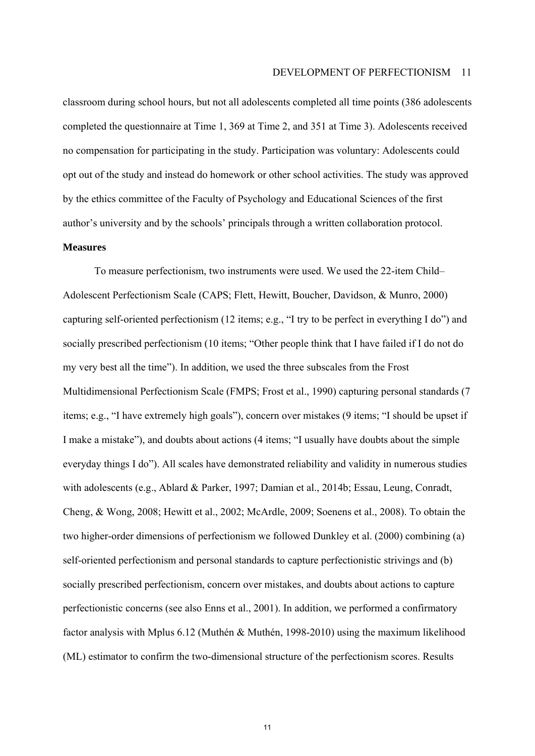classroom during school hours, but not all adolescents completed all time points (386 adolescents completed the questionnaire at Time 1, 369 at Time 2, and 351 at Time 3). Adolescents received no compensation for participating in the study. Participation was voluntary: Adolescents could opt out of the study and instead do homework or other school activities. The study was approved by the ethics committee of the Faculty of Psychology and Educational Sciences of the first author's university and by the schools' principals through a written collaboration protocol.

#### **Measures**

To measure perfectionism, two instruments were used. We used the 22-item Child-Adolescent Perfectionism Scale (CAPS; Flett, Hewitt, Boucher, Davidson, & Munro, 2000) capturing self-oriented perfectionism  $(12 \text{ items}; e.g., "I try to be perfect in everything I do")$  and socially prescribed perfectionism (10 items; "Other people think that I have failed if I do not do my very best all the time"). In addition, we used the three subscales from the Frost Multidimensional Perfectionism Scale (FMPS; Frost et al., 1990) capturing personal standards (7 items; e.g., "I have extremely high goals"), concern over mistakes (9 items; "I should be upset if I make a mistake"), and doubts about actions (4 items; "I usually have doubts about the simple everyday things I do"). All scales have demonstrated reliability and validity in numerous studies with adolescents (e.g., Ablard & Parker, 1997; Damian et al., 2014b; Essau, Leung, Conradt, Cheng, & Wong, 2008; Hewitt et al., 2002; McArdle, 2009; Soenens et al., 2008). To obtain the two higher-order dimensions of perfectionism we followed Dunkley et al. (2000) combining (a) self-oriented perfectionism and personal standards to capture perfectionistic strivings and (b) socially prescribed perfectionism, concern over mistakes, and doubts about actions to capture perfectionistic concerns (see also Enns et al., 2001). In addition, we performed a confirmatory factor analysis with Mplus 6.12 (Muthén & Muthén, 1998-2010) using the maximum likelihood (ML) estimator to confirm the two-dimensional structure of the perfectionism scores. Results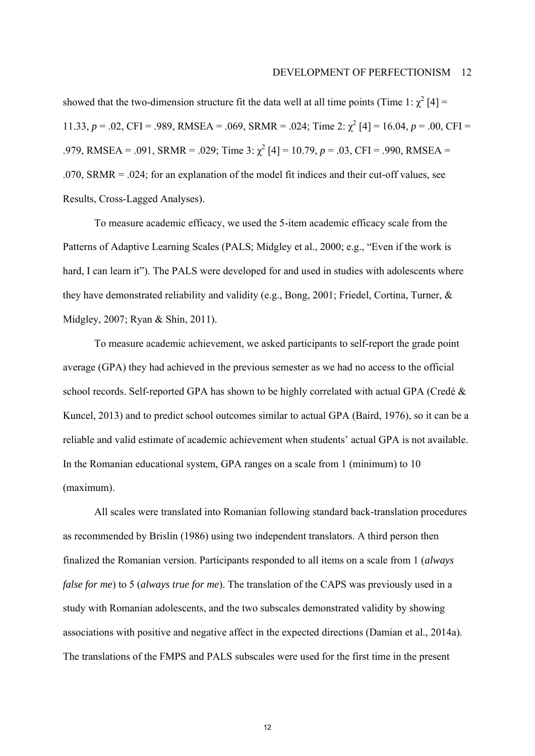#### DEVELOPMENT OF PERFECTIONISM 12

showed that the two-dimension structure fit the data well at all time points (Time 1:  $\chi^2$  [4] = 11.33,  $p = 0.02$ , CFI = .989, RMSEA = .069, SRMR = .024; Time 2:  $\chi^2$  [4] = 16.04,  $p = 0.00$ , CFI = .979, RMSEA = .091, SRMR = .029; Time 3:  $\chi^2$  [4] = 10.79, p = .03, CFI = .990, RMSEA = .070, SRMR = .024; for an explanation of the model fit indices and their cut-off values, see Results, Cross-Lagged Analyses).

To measure academic efficacy, we used the 5-item academic efficacy scale from the Patterns of Adaptive Learning Scales (PALS; Midgley et al., 2000; e.g., "Even if the work is hard, I can learn it"). The PALS were developed for and used in studies with adolescents where they have demonstrated reliability and validity (e.g., Bong, 2001; Friedel, Cortina, Turner, & Midgley, 2007; Ryan & Shin, 2011).

To measure academic achievement, we asked participants to self-report the grade point average (GPA) they had achieved in the previous semester as we had no access to the official school records. Self-reported GPA has shown to be highly correlated with actual GPA (Credé  $\&$ Kuncel, 2013) and to predict school outcomes similar to actual GPA (Baird, 1976), so it can be a reliable and valid estimate of academic achievement when students' actual GPA is not available. In the Romanian educational system, GPA ranges on a scale from 1 (minimum) to 10 (maximum).

All scales were translated into Romanian following standard back-translation procedures as recommended by Brislin (1986) using two independent translators. A third person then finalized the Romanian version. Participants responded to all items on a scale from 1 (*always false for me*) to 5 (*always true for me*). The translation of the CAPS was previously used in a study with Romanian adolescents, and the two subscales demonstrated validity by showing associations with positive and negative affect in the expected directions (Damian et al., 2014a). The translations of the FMPS and PALS subscales were used for the first time in the present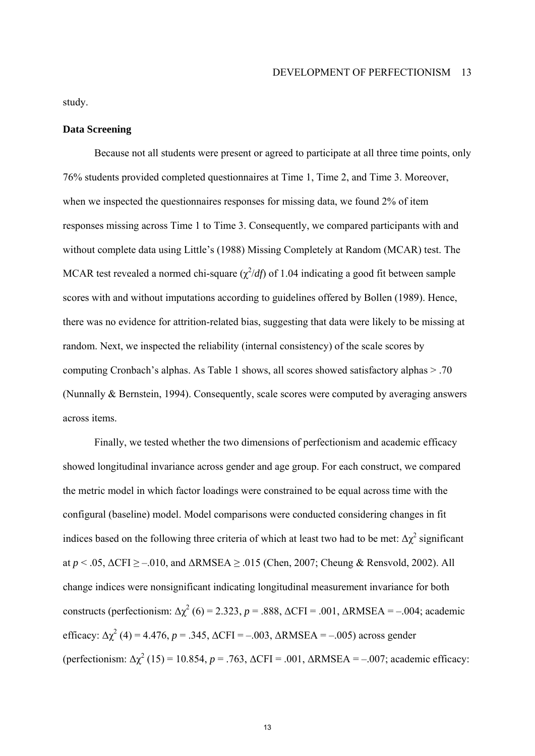study.

#### **Data Screening**

Because not all students were present or agreed to participate at all three time points, only 76% students provided completed questionnaires at Time 1, Time 2, and Time 3. Moreover, when we inspected the questionnaires responses for missing data, we found 2% of item responses missing across Time 1 to Time 3. Consequently, we compared participants with and without complete data using Little's (1988) Missing Completely at Random (MCAR) test. The MCAR test revealed a normed chi-square  $(\chi^2/df)$  of 1.04 indicating a good fit between sample scores with and without imputations according to guidelines offered by Bollen (1989). Hence, there was no evidence for attrition-related bias, suggesting that data were likely to be missing at random. Next, we inspected the reliability (internal consistency) of the scale scores by computing Cronbach's alphas. As Table 1 shows, all scores showed satisfactory alphas  $> 0.70$ . (Nunnally & Bernstein, 1994). Consequently, scale scores were computed by averaging answers across items.

Finally, we tested whether the two dimensions of perfectionism and academic efficacy showed longitudinal invariance across gender and age group. For each construct, we compared the metric model in which factor loadings were constrained to be equal across time with the configural (baseline) model. Model comparisons were conducted considering changes in fit indices based on the following three criteria of which at least two had to be met:  $\Delta \chi^2$  significant at  $p < .05$ ,  $\Delta$ CFI  $\ge -0.010$ , and  $\Delta$ RMSEA  $\ge .015$  (Chen, 2007; Cheung & Rensvold, 2002). All change indices were nonsignificant indicating longitudinal measurement invariance for both constructs (perfectionism:  $\Delta \chi^2$  (6) = 2.323, *p* = .888,  $\Delta$ CFI = .001,  $\Delta$ RMSEA = -.004; academic efficacy:  $\Delta \chi^2$  (4) = 4.476, *p* = .345,  $\Delta$ CFI = -.003,  $\Delta$ RMSEA = -.005) across gender (perfectionism:  $\Delta \chi^2$  (15) = 10.854, *p* = .763,  $\Delta$ CFI = .001,  $\Delta$ RMSEA = -.007; academic efficacy: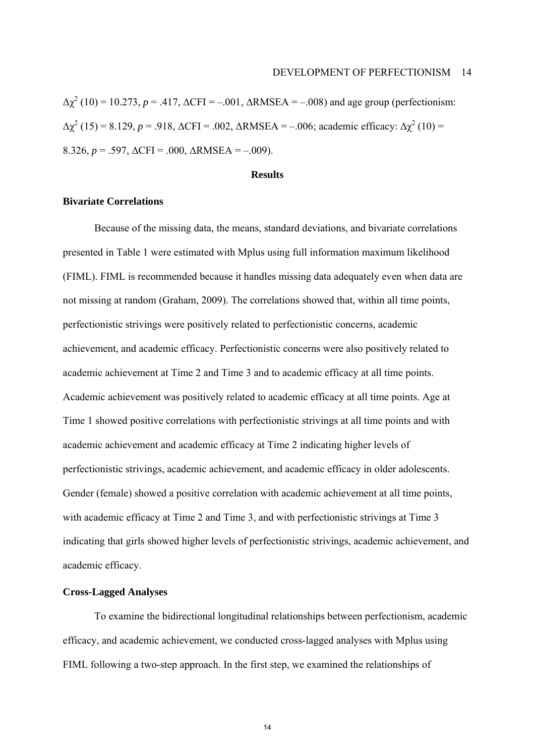$\Delta \chi^2$  (10) = 10.273, *p* = .417,  $\Delta$ CFI = -.001,  $\Delta$ RMSEA = -.008) and age group (perfectionism:  $\Delta \chi^2$  (15) = 8.129, *p* = .918,  $\Delta$ CFI = .002,  $\Delta$ RMSEA = -.006; academic efficacy:  $\Delta \chi^2$  (10) = 8.326,  $p = .597$ ,  $\Delta$ CFI = .000,  $\Delta$ RMSEA = -.009).

#### **Results**

#### **Bivariate Correlations**

Because of the missing data, the means, standard deviations, and bivariate correlations presented in Table 1 were estimated with Mplus using full information maximum likelihood (FIML). FIML is recommended because it handles missing data adequately even when data are not missing at random (Graham, 2009). The correlations showed that, within all time points, perfectionistic strivings were positively related to perfectionistic concerns, academic achievement, and academic efficacy. Perfectionistic concerns were also positively related to academic achievement at Time 2 and Time 3 and to academic efficacy at all time points. Academic achievement was positively related to academic efficacy at all time points. Age at Time 1 showed positive correlations with perfectionistic strivings at all time points and with academic achievement and academic efficacy at Time 2 indicating higher levels of perfectionistic strivings, academic achievement, and academic efficacy in older adolescents. Gender (female) showed a positive correlation with academic achievement at all time points, with academic efficacy at Time 2 and Time 3, and with perfectionistic strivings at Time 3 indicating that girls showed higher levels of perfectionistic strivings, academic achievement, and academic efficacy.

#### **Cross-Lagged Analyses**

To examine the bidirectional longitudinal relationships between perfectionism, academic efficacy, and academic achievement, we conducted cross-lagged analyses with Mplus using FIML following a two-step approach. In the first step, we examined the relationships of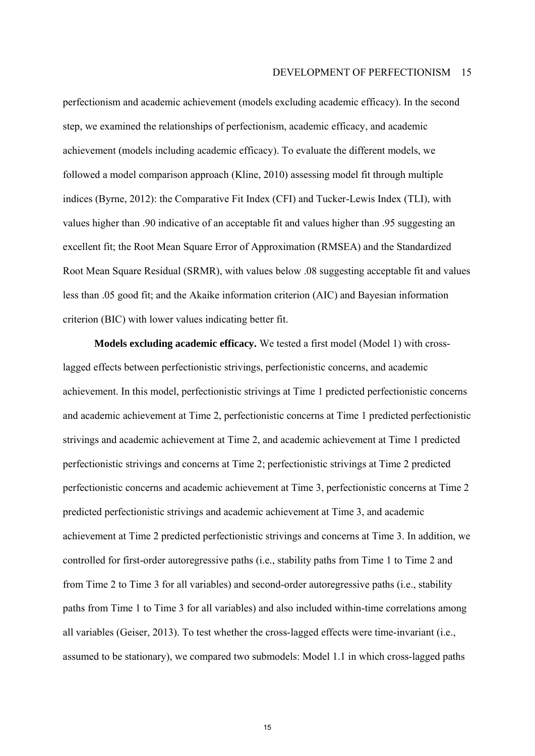perfectionism and academic achievement (models excluding academic efficacy). In the second step, we examined the relationships of perfectionism, academic efficacy, and academic achievement (models including academic efficacy). To evaluate the different models, we followed a model comparison approach (Kline, 2010) assessing model fit through multiple indices (Byrne, 2012): the Comparative Fit Index (CFI) and Tucker-Lewis Index (TLI), with values higher than .90 indicative of an acceptable fit and values higher than .95 suggesting an excellent fit; the Root Mean Square Error of Approximation (RMSEA) and the Standardized Root Mean Square Residual (SRMR), with values below .08 suggesting acceptable fit and values less than .05 good fit; and the Akaike information criterion (AIC) and Bayesian information criterion (BIC) with lower values indicating better fit.

**Models excluding academic efficacy.** We tested a first model (Model 1) with crosslagged effects between perfectionistic strivings, perfectionistic concerns, and academic achievement. In this model, perfectionistic strivings at Time 1 predicted perfectionistic concerns and academic achievement at Time 2, perfectionistic concerns at Time 1 predicted perfectionistic strivings and academic achievement at Time 2, and academic achievement at Time 1 predicted perfectionistic strivings and concerns at Time 2; perfectionistic strivings at Time 2 predicted perfectionistic concerns and academic achievement at Time 3, perfectionistic concerns at Time 2 predicted perfectionistic strivings and academic achievement at Time 3, and academic achievement at Time 2 predicted perfectionistic strivings and concerns at Time 3. In addition, we controlled for first-order autoregressive paths (i.e., stability paths from Time 1 to Time 2 and from Time 2 to Time 3 for all variables) and second-order autoregressive paths (i.e., stability paths from Time 1 to Time 3 for all variables) and also included within-time correlations among all variables (Geiser, 2013). To test whether the cross-lagged effects were time-invariant (i.e., assumed to be stationary), we compared two submodels: Model 1.1 in which cross-lagged paths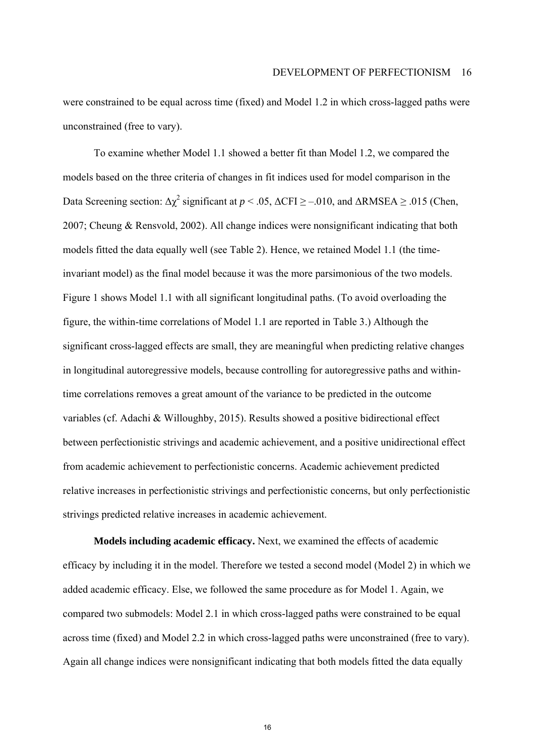were constrained to be equal across time (fixed) and Model 1.2 in which cross-lagged paths were unconstrained (free to vary).

To examine whether Model 1.1 showed a better fit than Model 1.2, we compared the models based on the three criteria of changes in fit indices used for model comparison in the Data Screening section:  $\Delta \chi^2$  significant at  $p < .05$ ,  $\Delta \text{CFI} \ge -.010$ , and  $\Delta \text{RMSEA} \ge .015$  (Chen, 2007; Cheung & Rensvold, 2002). All change indices were nonsignificant indicating that both models fitted the data equally well (see Table 2). Hence, we retained Model 1.1 (the timeinvariant model) as the final model because it was the more parsimonious of the two models. Figure 1 shows Model 1.1 with all significant longitudinal paths. (To avoid overloading the figure, the within-time correlations of Model 1.1 are reported in Table 3.) Although the significant cross-lagged effects are small, they are meaningful when predicting relative changes in longitudinal autoregressive models, because controlling for autoregressive paths and withintime correlations removes a great amount of the variance to be predicted in the outcome variables (cf. Adachi & Willoughby, 2015). Results showed a positive bidirectional effect between perfectionistic strivings and academic achievement, and a positive unidirectional effect from academic achievement to perfectionistic concerns. Academic achievement predicted relative increases in perfectionistic strivings and perfectionistic concerns, but only perfectionistic strivings predicted relative increases in academic achievement.

**Models including academic efficacy.** Next, we examined the effects of academic efficacy by including it in the model. Therefore we tested a second model (Model 2) in which we added academic efficacy. Else, we followed the same procedure as for Model 1. Again, we compared two submodels: Model 2.1 in which cross-lagged paths were constrained to be equal across time (fixed) and Model 2.2 in which cross-lagged paths were unconstrained (free to vary). Again all change indices were nonsignificant indicating that both models fitted the data equally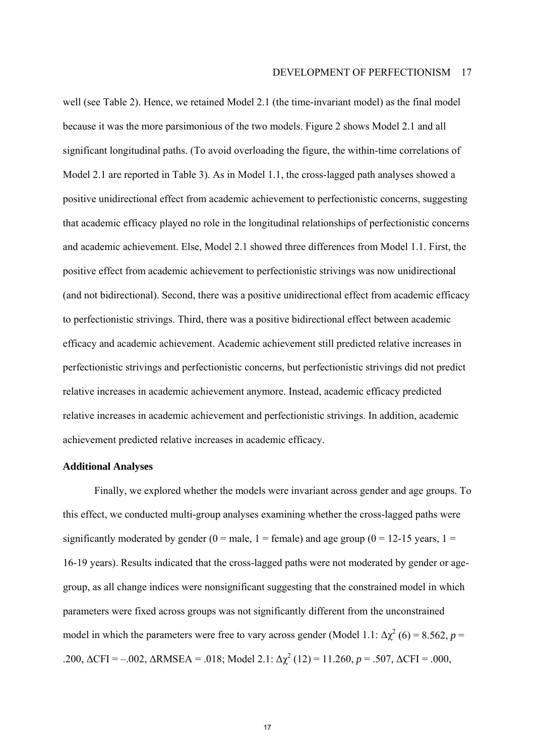well (see Table 2). Hence, we retained Model 2.1 (the time-invariant model) as the final model because it was the more parsimonious of the two models. Figure 2 shows Model 2.1 and all significant longitudinal paths. (To avoid overloading the figure, the within-time correlations of Model 2.1 are reported in Table 3). As in Model 1.1, the cross-lagged path analyses showed a positive unidirectional effect from academic achievement to perfectionistic concerns, suggesting that academic efficacy played no role in the longitudinal relationships of perfectionistic concerns and academic achievement. Else, Model 2.1 showed three differences from Model 1.1. First, the positive effect from academic achievement to perfectionistic strivings was now unidirectional (and not bidirectional). Second, there was a positive unidirectional effect from academic efficacy to perfectionistic strivings. Third, there was a positive bidirectional effect between academic efficacy and academic achievement. Academic achievement still predicted relative increases in perfectionistic strivings and perfectionistic concerns, but perfectionistic strivings did not predict relative increases in academic achievement anymore. Instead, academic efficacy predicted relative increases in academic achievement and perfectionistic strivings. In addition, academic achievement predicted relative increases in academic efficacy.

#### **Additional Analyses**

Finally, we explored whether the models were invariant across gender and age groups. To this effect, we conducted multi-group analyses examining whether the cross-lagged paths were significantly moderated by gender ( $0 =$  male,  $1 =$  female) and age group ( $0 = 12-15$  years,  $1 =$ 16-19 years). Results indicated that the cross-lagged paths were not moderated by gender or agegroup, as all change indices were nonsignificant suggesting that the constrained model in which parameters were fixed across groups was not significantly different from the unconstrained model in which the parameters were free to vary across gender (Model 1.1:  $\Delta \chi^2$  (6) = 8.562, *p* = .200,  $\triangle CFI = -.002$ ,  $\triangle RMSEA = .018$ ; Model 2.1:  $\triangle \chi^2(12) = 11.260$ ,  $p = .507$ ,  $\triangle CFI = .000$ ,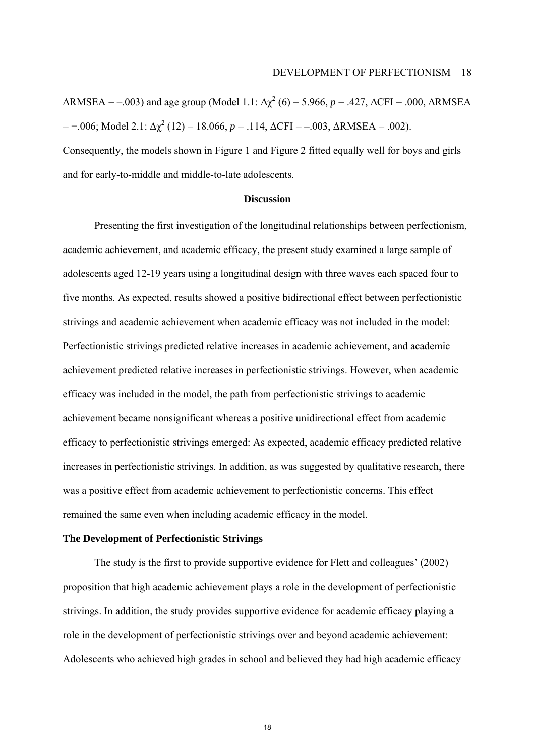$\triangle$ RMSEA = -.003) and age group (Model 1.1:  $\Delta \chi^2$  (6) = 5.966, *p* = .427,  $\triangle$ CFI = .000,  $\triangle$ RMSEA  $=$  −.006; Model 2.1: Δ $\chi^2$  (12) = 18.066, *p* = .114, ΔCFI = −.003, ΔRMSEA = .002). Consequently, the models shown in Figure 1 and Figure 2 fitted equally well for boys and girls and for early-to-middle and middle-to-late adolescents.

#### **Discussion**

Presenting the first investigation of the longitudinal relationships between perfectionism, academic achievement, and academic efficacy, the present study examined a large sample of adolescents aged 12-19 years using a longitudinal design with three waves each spaced four to five months. As expected, results showed a positive bidirectional effect between perfectionistic strivings and academic achievement when academic efficacy was not included in the model: Perfectionistic strivings predicted relative increases in academic achievement, and academic achievement predicted relative increases in perfectionistic strivings. However, when academic efficacy was included in the model, the path from perfectionistic strivings to academic achievement became nonsignificant whereas a positive unidirectional effect from academic efficacy to perfectionistic strivings emerged: As expected, academic efficacy predicted relative increases in perfectionistic strivings. In addition, as was suggested by qualitative research, there was a positive effect from academic achievement to perfectionistic concerns. This effect remained the same even when including academic efficacy in the model.

#### **The Development of Perfectionistic Strivings**

The study is the first to provide supportive evidence for Flett and colleagues' (2002) proposition that high academic achievement plays a role in the development of perfectionistic strivings. In addition, the study provides supportive evidence for academic efficacy playing a role in the development of perfectionistic strivings over and beyond academic achievement: Adolescents who achieved high grades in school and believed they had high academic efficacy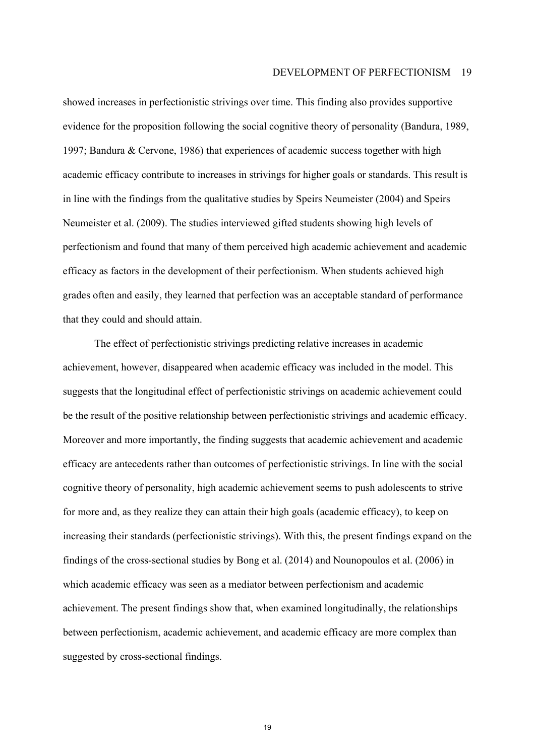showed increases in perfectionistic strivings over time. This finding also provides supportive evidence for the proposition following the social cognitive theory of personality (Bandura, 1989, 1997; Bandura & Cervone, 1986) that experiences of academic success together with high academic efficacy contribute to increases in strivings for higher goals or standards. This result is in line with the findings from the qualitative studies by Speirs Neumeister (2004) and Speirs Neumeister et al. (2009). The studies interviewed gifted students showing high levels of perfectionism and found that many of them perceived high academic achievement and academic efficacy as factors in the development of their perfectionism. When students achieved high grades often and easily, they learned that perfection was an acceptable standard of performance that they could and should attain.

The effect of perfectionistic strivings predicting relative increases in academic achievement, however, disappeared when academic efficacy was included in the model. This suggests that the longitudinal effect of perfectionistic strivings on academic achievement could be the result of the positive relationship between perfectionistic strivings and academic efficacy. Moreover and more importantly, the finding suggests that academic achievement and academic efficacy are antecedents rather than outcomes of perfectionistic strivings. In line with the social cognitive theory of personality, high academic achievement seems to push adolescents to strive for more and, as they realize they can attain their high goals (academic efficacy), to keep on increasing their standards (perfectionistic strivings). With this, the present findings expand on the findings of the cross-sectional studies by Bong et al. (2014) and Nounopoulos et al. (2006) in which academic efficacy was seen as a mediator between perfectionism and academic achievement. The present findings show that, when examined longitudinally, the relationships between perfectionism, academic achievement, and academic efficacy are more complex than suggested by cross-sectional findings.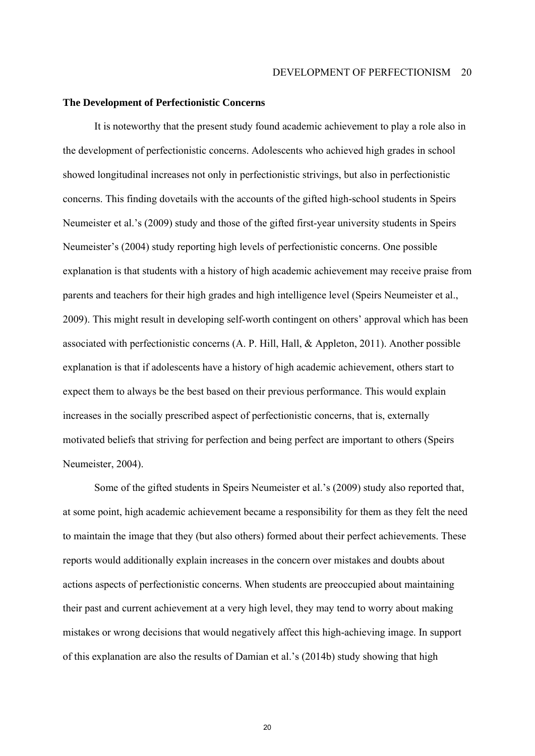#### **The Development of Perfectionistic Concerns**

It is noteworthy that the present study found academic achievement to play a role also in the development of perfectionistic concerns. Adolescents who achieved high grades in school showed longitudinal increases not only in perfectionistic strivings, but also in perfectionistic concerns. This finding dovetails with the accounts of the gifted high-school students in Speirs Neumeister et al.'s (2009) study and those of the gifted first-year university students in Speirs Neumeister's (2004) study reporting high levels of perfectionistic concerns. One possible explanation is that students with a history of high academic achievement may receive praise from parents and teachers for their high grades and high intelligence level (Speirs Neumeister et al., 2009). This might result in developing self-worth contingent on others' approval which has been associated with perfectionistic concerns (A. P. Hill, Hall, & Appleton, 2011). Another possible explanation is that if adolescents have a history of high academic achievement, others start to expect them to always be the best based on their previous performance. This would explain increases in the socially prescribed aspect of perfectionistic concerns, that is, externally motivated beliefs that striving for perfection and being perfect are important to others (Speirs Neumeister, 2004).

Some of the gifted students in Speirs Neumeister et al.'s (2009) study also reported that, at some point, high academic achievement became a responsibility for them as they felt the need to maintain the image that they (but also others) formed about their perfect achievements. These reports would additionally explain increases in the concern over mistakes and doubts about actions aspects of perfectionistic concerns. When students are preoccupied about maintaining their past and current achievement at a very high level, they may tend to worry about making mistakes or wrong decisions that would negatively affect this high-achieving image. In support of this explanation are also the results of Damian et al.'s  $(2014b)$  study showing that high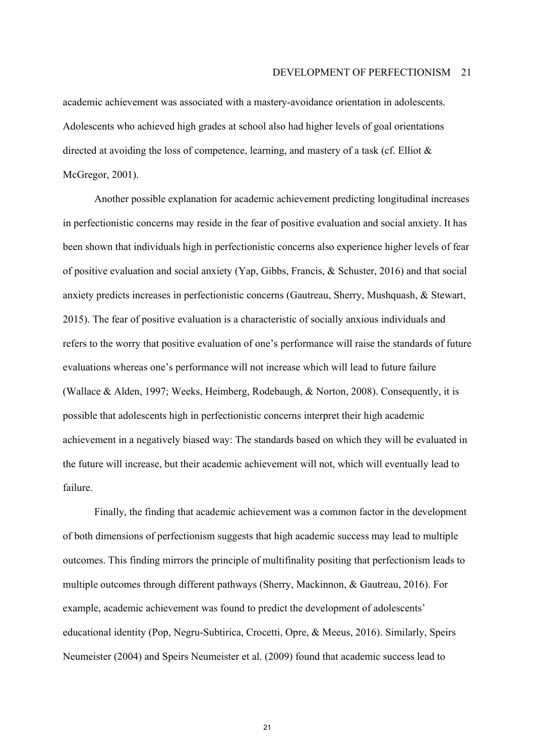academic achievement was associated with a mastery-avoidance orientation in adolescents. Adolescents who achieved high grades at school also had higher levels of goal orientations directed at avoiding the loss of competence, learning, and mastery of a task (cf. Elliot & McGregor, 2001).

Another possible explanation for academic achievement predicting longitudinal increases in perfectionistic concerns may reside in the fear of positive evaluation and social anxiety. It has been shown that individuals high in perfectionistic concerns also experience higher levels of fear of positive evaluation and social anxiety (Yap, Gibbs, Francis, & Schuster, 2016) and that social anxiety predicts increases in perfectionistic concerns (Gautreau, Sherry, Mushquash, & Stewart, 2015). The fear of positive evaluation is a characteristic of socially anxious individuals and refers to the worry that positive evaluation of one's performance will raise the standards of future evaluations whereas one's performance will not increase which will lead to future failure (Wallace & Alden, 1997; Weeks, Heimberg, Rodebaugh, & Norton, 2008). Consequently, it is possible that adolescents high in perfectionistic concerns interpret their high academic achievement in a negatively biased way: The standards based on which they will be evaluated in the future will increase, but their academic achievement will not, which will eventually lead to failure.

Finally, the finding that academic achievement was a common factor in the development of both dimensions of perfectionism suggests that high academic success may lead to multiple outcomes. This finding mirrors the principle of multifinality positing that perfectionism leads to multiple outcomes through different pathways (Sherry, Mackinnon, & Gautreau, 2016). For example, academic achievement was found to predict the development of adolescents' educational identity (Pop, Negru-Subtirica, Crocetti, Opre, & Meeus, 2016). Similarly, Speirs Neumeister (2004) and Speirs Neumeister et al. (2009) found that academic success lead to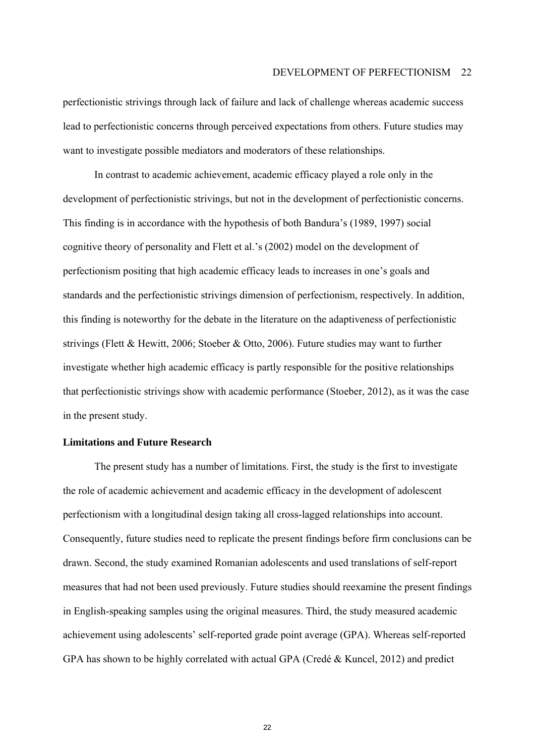perfectionistic strivings through lack of failure and lack of challenge whereas academic success lead to perfectionistic concerns through perceived expectations from others. Future studies may want to investigate possible mediators and moderators of these relationships.

In contrast to academic achievement, academic efficacy played a role only in the development of perfectionistic strivings, but not in the development of perfectionistic concerns. This finding is in accordance with the hypothesis of both Bandura's (1989, 1997) social cognitive theory of personality and Flett et al.'s (2002) model on the development of perfectionism positing that high academic efficacy leads to increases in one's goals and standards and the perfectionistic strivings dimension of perfectionism, respectively. In addition, this finding is noteworthy for the debate in the literature on the adaptiveness of perfectionistic strivings (Flett & Hewitt, 2006; Stoeber & Otto, 2006). Future studies may want to further investigate whether high academic efficacy is partly responsible for the positive relationships that perfectionistic strivings show with academic performance (Stoeber, 2012), as it was the case in the present study.

#### **Limitations and Future Research**

The present study has a number of limitations. First, the study is the first to investigate the role of academic achievement and academic efficacy in the development of adolescent perfectionism with a longitudinal design taking all cross-lagged relationships into account. Consequently, future studies need to replicate the present findings before firm conclusions can be drawn. Second, the study examined Romanian adolescents and used translations of self-report measures that had not been used previously. Future studies should reexamine the present findings in English-speaking samples using the original measures. Third, the study measured academic achievement using adolescents' self-reported grade point average (GPA). Whereas self-reported GPA has shown to be highly correlated with actual GPA (Credé  $&$  Kuncel, 2012) and predict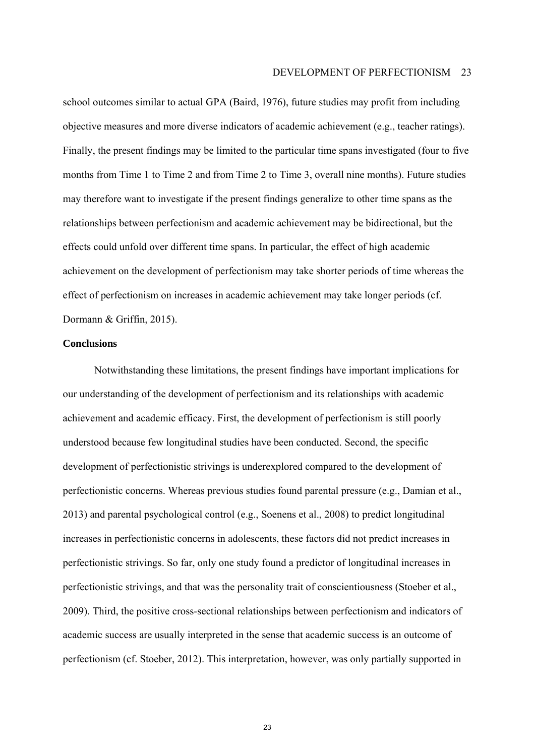#### DEVELOPMENT OF PERFECTIONISM 23

school outcomes similar to actual GPA (Baird, 1976), future studies may profit from including objective measures and more diverse indicators of academic achievement (e.g., teacher ratings). Finally, the present findings may be limited to the particular time spans investigated (four to five months from Time 1 to Time 2 and from Time 2 to Time 3, overall nine months). Future studies may therefore want to investigate if the present findings generalize to other time spans as the relationships between perfectionism and academic achievement may be bidirectional, but the effects could unfold over different time spans. In particular, the effect of high academic achievement on the development of perfectionism may take shorter periods of time whereas the effect of perfectionism on increases in academic achievement may take longer periods (cf. Dormann & Griffin, 2015).

#### **Conclusions**

Notwithstanding these limitations, the present findings have important implications for our understanding of the development of perfectionism and its relationships with academic achievement and academic efficacy. First, the development of perfectionism is still poorly understood because few longitudinal studies have been conducted. Second, the specific development of perfectionistic strivings is underexplored compared to the development of perfectionistic concerns. Whereas previous studies found parental pressure (e.g., Damian et al., 2013) and parental psychological control (e.g., Soenens et al., 2008) to predict longitudinal increases in perfectionistic concerns in adolescents, these factors did not predict increases in perfectionistic strivings. So far, only one study found a predictor of longitudinal increases in perfectionistic strivings, and that was the personality trait of conscientiousness (Stoeber et al., 2009). Third, the positive cross-sectional relationships between perfectionism and indicators of academic success are usually interpreted in the sense that academic success is an outcome of perfectionism (cf. Stoeber, 2012). This interpretation, however, was only partially supported in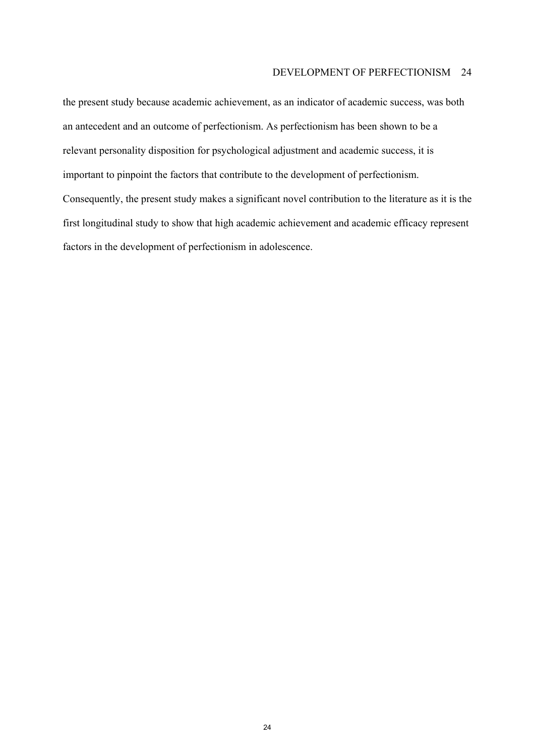the present study because academic achievement, as an indicator of academic success, was both an antecedent and an outcome of perfectionism. As perfectionism has been shown to be a relevant personality disposition for psychological adjustment and academic success, it is important to pinpoint the factors that contribute to the development of perfectionism. Consequently, the present study makes a significant novel contribution to the literature as it is the first longitudinal study to show that high academic achievement and academic efficacy represent factors in the development of perfectionism in adolescence.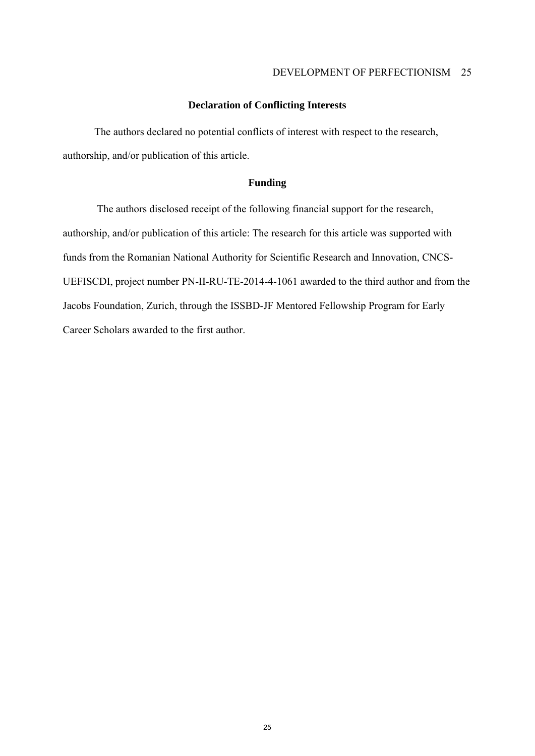#### **Declaration of Conflicting Interests**

The authors declared no potential conflicts of interest with respect to the research, authorship, and/or publication of this article.

#### **Funding**

 The authors disclosed receipt of the following financial support for the research, authorship, and/or publication of this article: The research for this article was supported with funds from the Romanian National Authority for Scientific Research and Innovation, CNCS-UEFISCDI, project number PN-II-RU-TE-2014-4-1061 awarded to the third author and from the Jacobs Foundation, Zurich, through the ISSBD-JF Mentored Fellowship Program for Early Career Scholars awarded to the first author.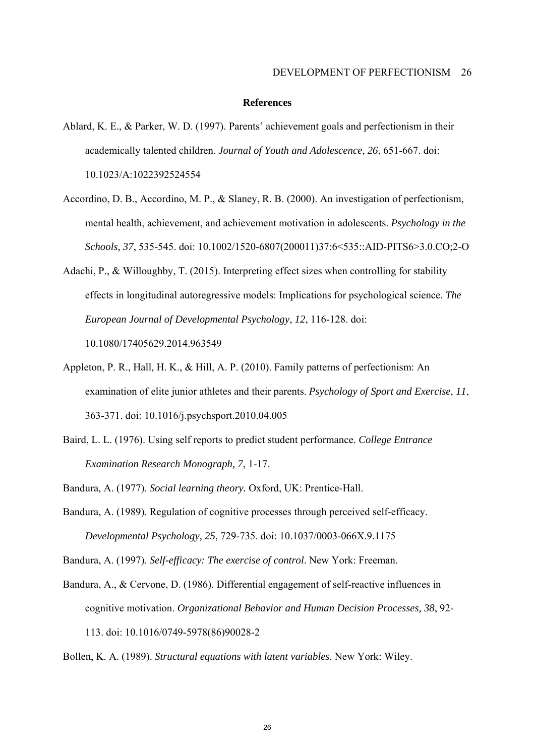#### **References**

- Ablard, K. E., & Parker, W. D. (1997). Parents' achievement goals and perfectionism in their academically talented children. *Journal of Youth and Adolescence, 26*, 651-667. doi: 10.1023/A:1022392524554
- Accordino, D. B., Accordino, M. P., & Slaney, R. B. (2000). An investigation of perfectionism, mental health, achievement, and achievement motivation in adolescents. *Psychology in the Schools, 37*, 535-545. doi: 10.1002/1520-6807(200011)37:6<535::AID-PITS6>3.0.CO;2-O
- Adachi, P., & Willoughby, T. (2015). Interpreting effect sizes when controlling for stability effects in longitudinal autoregressive models: Implications for psychological science. *The European Journal of Developmental Psychology*, *12*, 116-128. doi: 10.1080/17405629.2014.963549
- Appleton, P. R., Hall, H. K., & Hill, A. P. (2010). Family patterns of perfectionism: An examination of elite junior athletes and their parents. *Psychology of Sport and Exercise, 11*, 363-371. doi: 10.1016/j.psychsport.2010.04.005
- Baird, L. L. (1976). Using self reports to predict student performance. *College Entrance Examination Research Monograph, 7*, 1-17.
- Bandura, A. (1977). *Social learning theory.* Oxford, UK: Prentice-Hall.
- Bandura, A. (1989). Regulation of cognitive processes through perceived self-efficacy. *Developmental Psychology, 25*, 729-735. doi: 10.1037/0003-066X.9.1175

Bandura, A. (1997). *Self-efficacy: The exercise of control*. New York: Freeman.

Bandura, A., & Cervone, D. (1986). Differential engagement of self-reactive influences in cognitive motivation. *Organizational Behavior and Human Decision Processes, 38*, 92- 113. doi: 10.1016/0749-5978(86)90028-2

Bollen, K. A. (1989). *Structural equations with latent variables*. New York: Wiley.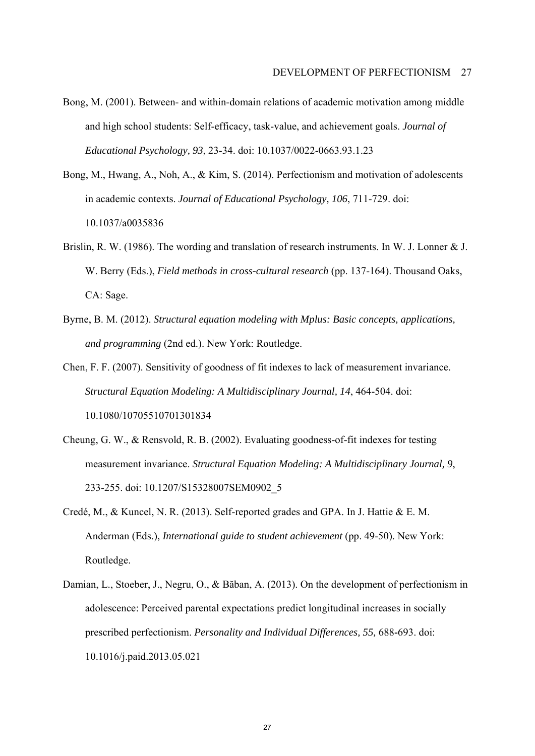- Bong, M. (2001). Between- and within-domain relations of academic motivation among middle and high school students: Self-efficacy, task-value, and achievement goals. *Journal of Educational Psychology, 93*, 23-34. doi: 10.1037/0022-0663.93.1.23
- Bong, M., Hwang, A., Noh, A., & Kim, S. (2014). Perfectionism and motivation of adolescents in academic contexts. *Journal of Educational Psychology, 106*, 711-729. doi: 10.1037/a0035836
- Brislin, R. W. (1986). The wording and translation of research instruments. In W. J. Lonner & J. W. Berry (Eds.), *Field methods in cross-cultural research* (pp. 137-164). Thousand Oaks, CA: Sage.
- Byrne, B. M. (2012). *Structural equation modeling with Mplus: Basic concepts, applications, and programming* (2nd ed.). New York: Routledge.
- Chen, F. F. (2007). Sensitivity of goodness of fit indexes to lack of measurement invariance. *Structural Equation Modeling: A Multidisciplinary Journal, 14*, 464-504. doi: 10.1080/10705510701301834
- Cheung, G. W., & Rensvold, R. B. (2002). Evaluating goodness-of-fit indexes for testing measurement invariance. *Structural Equation Modeling: A Multidisciplinary Journal, 9*, 233-255. doi: 10.1207/S15328007SEM0902\_5
- Credé, M., & Kuncel, N. R. (2013). Self-reported grades and GPA. In J. Hattie & E. M. Anderman (Eds.), *International guide to student achievement* (pp. 49-50). New York: Routledge.
- Damian, L., Stoeber, J., Negru, O., & Băban, A. (2013). On the development of perfectionism in adolescence: Perceived parental expectations predict longitudinal increases in socially prescribed perfectionism. *Personality and Individual Differences, 55,* 688**-**693. doi: 10.1016/j.paid.2013.05.021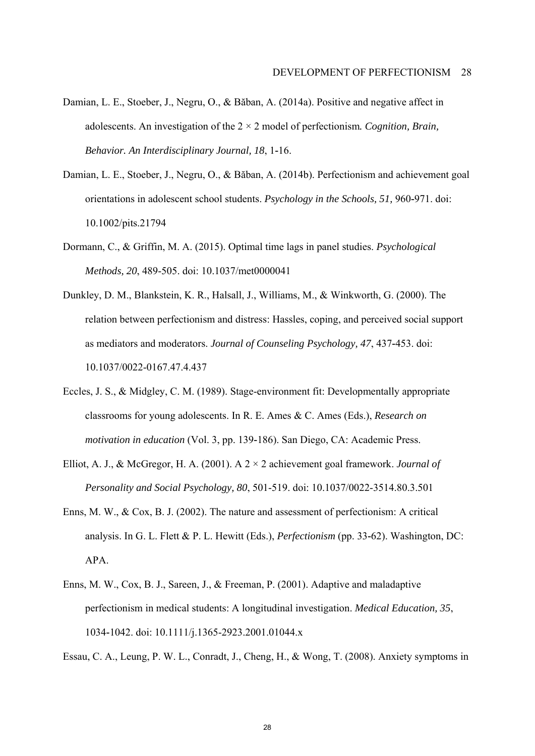- Damian, L. E., Stoeber, J., Negru, O., & Băban, A. (2014a). Positive and negative affect in adolescents. An investigation of the 2 × 2 model of perfectionism*. Cognition, Brain, Behavior. An Interdisciplinary Journal, 18*, 1**-**16.
- Damian, L. E., Stoeber, J., Negru, O., & Băban, A. (2014b). Perfectionism and achievement goal orientations in adolescent school students. *Psychology in the Schools, 51,* 960**-**971. doi: 10.1002/pits.21794
- Dormann, C., & Griffin, M. A. (2015). Optimal time lags in panel studies. *Psychological Methods, 20*, 489-505. doi: 10.1037/met0000041
- Dunkley, D. M., Blankstein, K. R., Halsall, J., Williams, M., & Winkworth, G. (2000). The relation between perfectionism and distress: Hassles, coping, and perceived social support as mediators and moderators. *Journal of Counseling Psychology, 47*, 437**-**453. doi: 10.1037/0022-0167.47.4.437
- Eccles, J. S., & Midgley, C. M. (1989). Stage-environment fit: Developmentally appropriate classrooms for young adolescents. In R. E. Ames & C. Ames (Eds.), *Research on motivation in education* (Vol. 3, pp. 139**-**186). San Diego, CA: Academic Press.
- Elliot, A. J., & McGregor, H. A. (2001). A 2 × 2 achievement goal framework. *Journal of Personality and Social Psychology, 80*, 501-519. doi: 10.1037/0022-3514.80.3.501
- Enns, M. W., & Cox, B. J. (2002). The nature and assessment of perfectionism: A critical analysis. In G. L. Flett & P. L. Hewitt (Eds.), *Perfectionism* (pp. 33**-**62). Washington, DC: APA.
- Enns, M. W., Cox, B. J., Sareen, J., & Freeman, P. (2001). Adaptive and maladaptive perfectionism in medical students: A longitudinal investigation. *Medical Education, 35*, 1034**-**1042. doi: 10.1111/j.1365-2923.2001.01044.x

Essau, C. A., Leung, P. W. L., Conradt, J., Cheng, H., & Wong, T. (2008). Anxiety symptoms in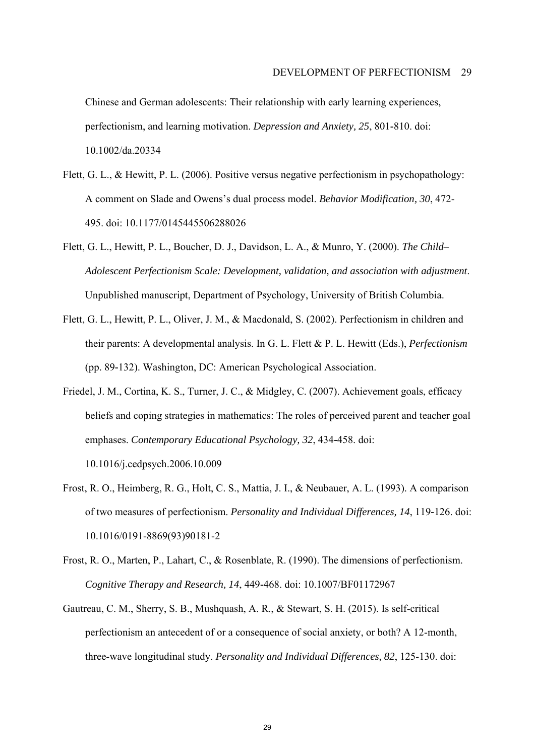Chinese and German adolescents: Their relationship with early learning experiences, perfectionism, and learning motivation. *Depression and Anxiety, 25*, 801**-**810. doi: 10.1002/da.20334

- Flett, G. L., & Hewitt, P. L. (2006). Positive versus negative perfectionism in psychopathology: A comment on Slade and Owensís dual process model. *Behavior Modification, 30*, 472- 495. doi: 10.1177/0145445506288026
- Flett, G. L., Hewitt, P. L., Boucher, D. J., Davidson, L. A., & Munro, Y. (2000). *The Child– Adolescent Perfectionism Scale: Development, validation, and association with adjustment*. Unpublished manuscript, Department of Psychology, University of British Columbia.
- Flett, G. L., Hewitt, P. L., Oliver, J. M., & Macdonald, S. (2002). Perfectionism in children and their parents: A developmental analysis. In G. L. Flett & P. L. Hewitt (Eds.), *Perfectionism*  (pp. 89**-**132). Washington, DC: American Psychological Association.
- Friedel, J. M., Cortina, K. S., Turner, J. C., & Midgley, C. (2007). Achievement goals, efficacy beliefs and coping strategies in mathematics: The roles of perceived parent and teacher goal emphases. *Contemporary Educational Psychology, 32*, 434**-**458. doi:

10.1016/j.cedpsych.2006.10.009

- Frost, R. O., Heimberg, R. G., Holt, C. S., Mattia, J. I., & Neubauer, A. L. (1993). A comparison of two measures of perfectionism. *Personality and Individual Differences, 14*, 119**-**126. doi: 10.1016/0191-8869(93)90181-2
- Frost, R. O., Marten, P., Lahart, C., & Rosenblate, R. (1990). The dimensions of perfectionism. *Cognitive Therapy and Research, 14*, 449**-**468. doi: 10.1007/BF01172967
- Gautreau, C. M., Sherry, S. B., Mushquash, A. R., & Stewart, S. H. (2015). Is self-critical perfectionism an antecedent of or a consequence of social anxiety, or both? A 12-month, three-wave longitudinal study. *Personality and Individual Differences, 82*, 125-130. doi: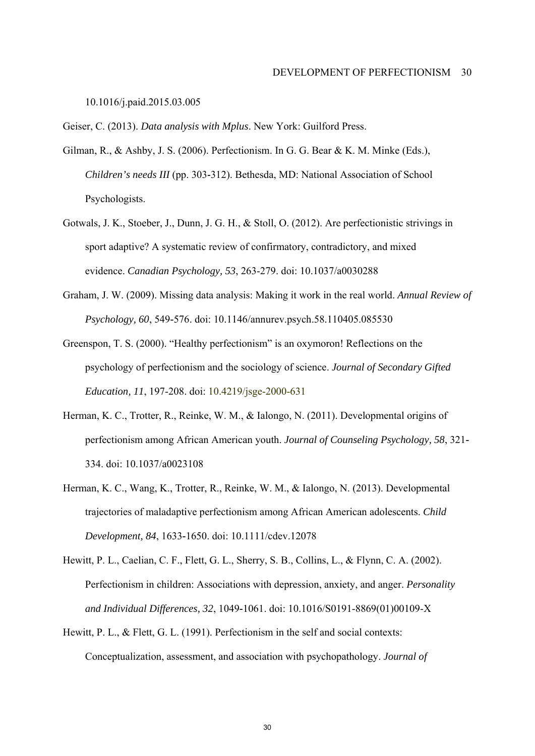10.1016/j.paid.2015.03.005

Geiser, C. (2013). *Data analysis with Mplus*. New York: Guilford Press.

- Gilman, R., & Ashby, J. S. (2006). Perfectionism. In G. G. Bear & K. M. Minke (Eds.), *Children's needs III* (pp. 303**-**312). Bethesda, MD: National Association of School Psychologists.
- Gotwals, J. K., Stoeber, J., Dunn, J. G. H., & Stoll, O. (2012). Are perfectionistic strivings in sport adaptive? A systematic review of confirmatory, contradictory, and mixed evidence. *Canadian Psychology, 53*, 263-279. doi: 10.1037/a0030288
- Graham, J. W. (2009). Missing data analysis: Making it work in the real world. *Annual Review of Psychology, 60*, 549**-**576. doi: 10.1146/annurev.psych.58.110405.085530
- Greenspon, T. S. (2000). "Healthy perfectionism" is an oxymoron! Reflections on the psychology of perfectionism and the sociology of science. *Journal of Secondary Gifted Education, 11*, 197-208. doi: 10.4219/jsge-2000-631
- Herman, K. C., Trotter, R., Reinke, W. M., & Ialongo, N. (2011). Developmental origins of perfectionism among African American youth. *Journal of Counseling Psychology, 58*, 321**-** 334. doi: 10.1037/a0023108
- Herman, K. C., Wang, K., Trotter, R., Reinke, W. M., & Ialongo, N. (2013). Developmental trajectories of maladaptive perfectionism among African American adolescents. *Child Development, 84*, 1633**-**1650. doi: 10.1111/cdev.12078
- Hewitt, P. L., Caelian, C. F., Flett, G. L., Sherry, S. B., Collins, L., & Flynn, C. A. (2002). Perfectionism in children: Associations with depression, anxiety, and anger. *Personality and Individual Differences, 32*, 1049**-**1061. doi: 10.1016/S0191-8869(01)00109-X
- Hewitt, P. L., & Flett, G. L. (1991). Perfectionism in the self and social contexts: Conceptualization, assessment, and association with psychopathology. *Journal of*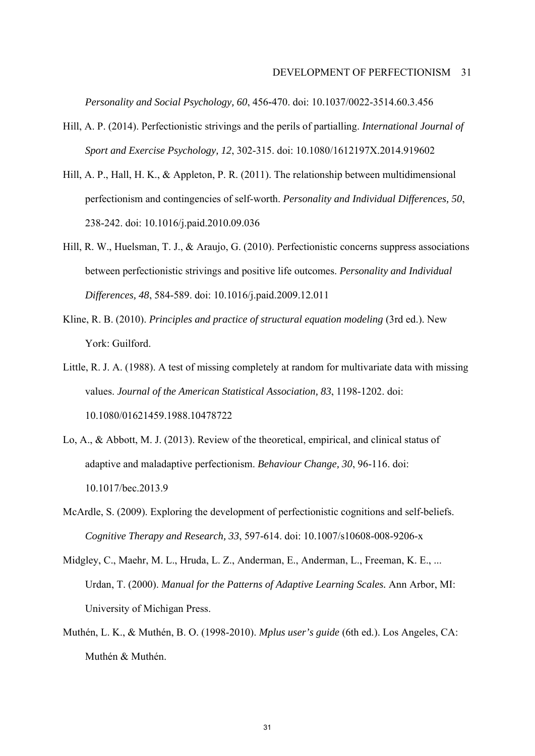*Personality and Social Psychology, 60*, 456**-**470. doi: 10.1037/0022-3514.60.3.456

- Hill, A. P. (2014). Perfectionistic strivings and the perils of partialling. *International Journal of Sport and Exercise Psychology, 12*, 302-315. doi: 10.1080/1612197X.2014.919602
- Hill, A. P., Hall, H. K., & Appleton, P. R. (2011). The relationship between multidimensional perfectionism and contingencies of self-worth. *Personality and Individual Differences, 50*, 238-242. doi: 10.1016/j.paid.2010.09.036
- Hill, R. W., Huelsman, T. J., & Araujo, G. (2010). Perfectionistic concerns suppress associations between perfectionistic strivings and positive life outcomes. *Personality and Individual Differences, 48*, 584-589. doi: 10.1016/j.paid.2009.12.011
- Kline, R. B. (2010). *Principles and practice of structural equation modeling* (3rd ed.). New York: Guilford.
- Little, R. J. A. (1988). A test of missing completely at random for multivariate data with missing values. *Journal of the American Statistical Association, 83*, 1198-1202. doi: 10.1080/01621459.1988.10478722
- Lo, A., & Abbott, M. J. (2013). Review of the theoretical, empirical, and clinical status of adaptive and maladaptive perfectionism. *Behaviour Change, 30*, 96-116. doi: 10.1017/bec.2013.9
- McArdle, S. (2009). Exploring the development of perfectionistic cognitions and self-beliefs. *Cognitive Therapy and Research, 33*, 597-614. doi: 10.1007/s10608-008-9206-x
- Midgley, C., Maehr, M. L., Hruda, L. Z., Anderman, E., Anderman, L., Freeman, K. E., ... Urdan, T. (2000). *Manual for the Patterns of Adaptive Learning Scales.* Ann Arbor, MI: University of Michigan Press.
- Muthén, L. K., & Muthén, B. O. (1998-2010). *Mplus user's guide* (6th ed.). Los Angeles, CA: Muthén & Muthén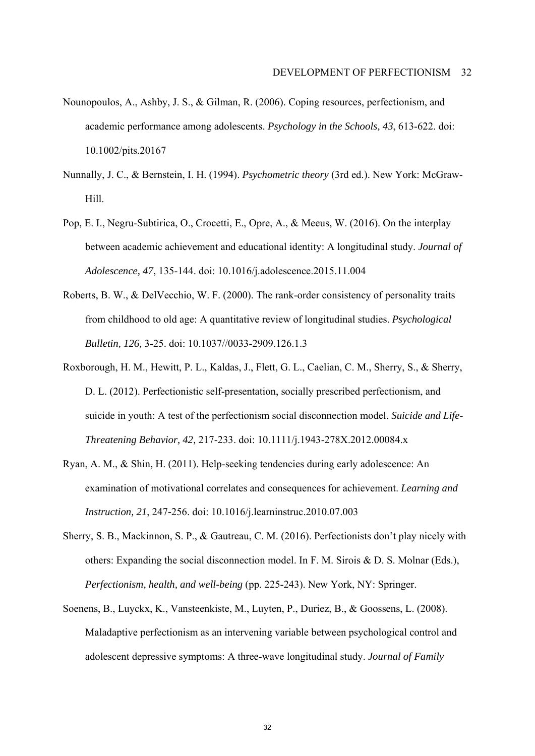- Nounopoulos, A., Ashby, J. S., & Gilman, R. (2006). Coping resources, perfectionism, and academic performance among adolescents. *Psychology in the Schools, 43*, 613-622. doi: 10.1002/pits.20167
- Nunnally, J. C., & Bernstein, I. H. (1994). *Psychometric theory* (3rd ed.). New York: McGraw-Hill.
- Pop, E. I., Negru-Subtirica, O., Crocetti, E., Opre, A., & Meeus, W. (2016). On the interplay between academic achievement and educational identity: A longitudinal study. *Journal of Adolescence, 47*, 135-144. doi: 10.1016/j.adolescence.2015.11.004
- Roberts, B. W., & DelVecchio, W. F. (2000). The rank-order consistency of personality traits from childhood to old age: A quantitative review of longitudinal studies. *Psychological Bulletin, 126,* 3-25. doi: 10.1037//0033-2909.126.1.3
- Roxborough, H. M., Hewitt, P. L., Kaldas, J., Flett, G. L., Caelian, C. M., Sherry, S., & Sherry, D. L. (2012). Perfectionistic self-presentation, socially prescribed perfectionism, and suicide in youth: A test of the perfectionism social disconnection model. *Suicide and Life-Threatening Behavior, 42,* 217-233. doi: 10.1111/j.1943-278X.2012.00084.x
- Ryan, A. M., & Shin, H. (2011). Help-seeking tendencies during early adolescence: An examination of motivational correlates and consequences for achievement. *Learning and Instruction, 21*, 247**-**256. doi: 10.1016/j.learninstruc.2010.07.003
- Sherry, S. B., Mackinnon, S. P., & Gautreau, C. M. (2016). Perfectionists don't play nicely with others: Expanding the social disconnection model. In F. M. Sirois & D. S. Molnar (Eds.), *Perfectionism, health, and well-being* (pp. 225-243). New York, NY: Springer.
- Soenens, B., Luyckx, K., Vansteenkiste, M., Luyten, P., Duriez, B., & Goossens, L. (2008). Maladaptive perfectionism as an intervening variable between psychological control and adolescent depressive symptoms: A three-wave longitudinal study. *Journal of Family*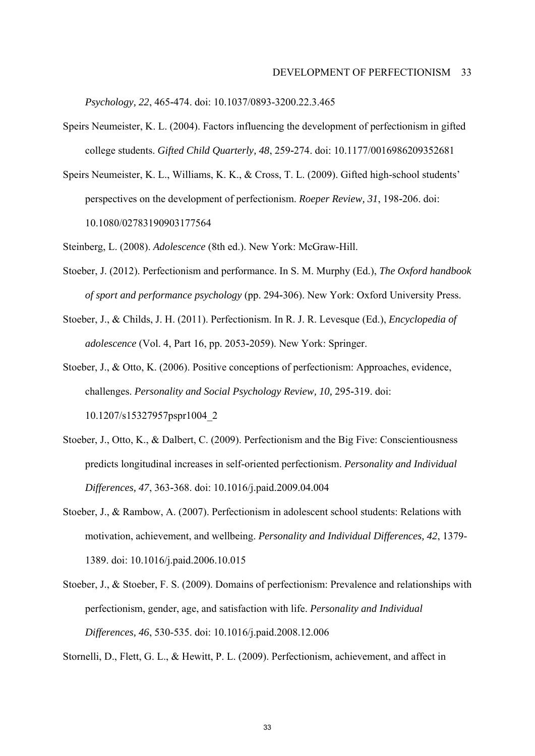*Psychology, 22*, 465**-**474. doi: 10.1037/0893-3200.22.3.465

- Speirs Neumeister, K. L. (2004). Factors influencing the development of perfectionism in gifted college students. *Gifted Child Quarterly, 48*, 259**-**274. doi: 10.1177/0016986209352681
- Speirs Neumeister, K. L., Williams, K. K., & Cross, T. L. (2009). Gifted high-school students' perspectives on the development of perfectionism. *Roeper Review, 31*, 198**-**206. doi: 10.1080/02783190903177564
- Steinberg, L. (2008). *Adolescence* (8th ed.). New York: McGraw-Hill.
- Stoeber, J. (2012). Perfectionism and performance. In S. M. Murphy (Ed.), *The Oxford handbook of sport and performance psychology* (pp. 294**-**306). New York: Oxford University Press.
- Stoeber, J., & Childs, J. H. (2011). Perfectionism. In R. J. R. Levesque (Ed.), *Encyclopedia of adolescence* (Vol. 4, Part 16, pp. 2053**-**2059). New York: Springer.
- Stoeber, J., & Otto, K. (2006). Positive conceptions of perfectionism: Approaches, evidence, challenges. *Personality and Social Psychology Review, 10,* 295**-**319. doi: 10.1207/s15327957pspr1004\_2
- Stoeber, J., Otto, K., & Dalbert, C. (2009). Perfectionism and the Big Five: Conscientiousness predicts longitudinal increases in self-oriented perfectionism. *Personality and Individual Differences, 47*, 363**-**368. doi: 10.1016/j.paid.2009.04.004
- Stoeber, J., & Rambow, A. (2007). Perfectionism in adolescent school students: Relations with motivation, achievement, and wellbeing. *Personality and Individual Differences, 42*, 1379- 1389. doi: 10.1016/j.paid.2006.10.015
- Stoeber, J., & Stoeber, F. S. (2009). Domains of perfectionism: Prevalence and relationships with perfectionism, gender, age, and satisfaction with life. *Personality and Individual Differences, 46*, 530-535. doi: 10.1016/j.paid.2008.12.006

Stornelli, D., Flett, G. L., & Hewitt, P. L. (2009). Perfectionism, achievement, and affect in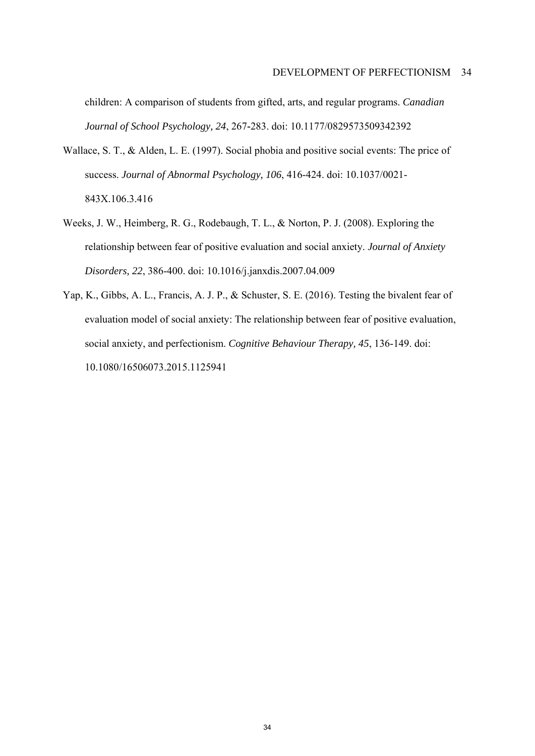children: A comparison of students from gifted, arts, and regular programs. *Canadian Journal of School Psychology, 24*, 267**-**283. doi: 10.1177/0829573509342392

- Wallace, S. T., & Alden, L. E. (1997). Social phobia and positive social events: The price of success. *Journal of Abnormal Psychology, 106*, 416-424. doi: 10.1037/0021- 843X.106.3.416
- Weeks, J. W., Heimberg, R. G., Rodebaugh, T. L., & Norton, P. J. (2008). Exploring the relationship between fear of positive evaluation and social anxiety. *Journal of Anxiety Disorders, 22*, 386-400. doi: 10.1016/j.janxdis.2007.04.009
- Yap, K., Gibbs, A. L., Francis, A. J. P., & Schuster, S. E. (2016). Testing the bivalent fear of evaluation model of social anxiety: The relationship between fear of positive evaluation, social anxiety, and perfectionism. *Cognitive Behaviour Therapy, 45*, 136-149. doi: 10.1080/16506073.2015.1125941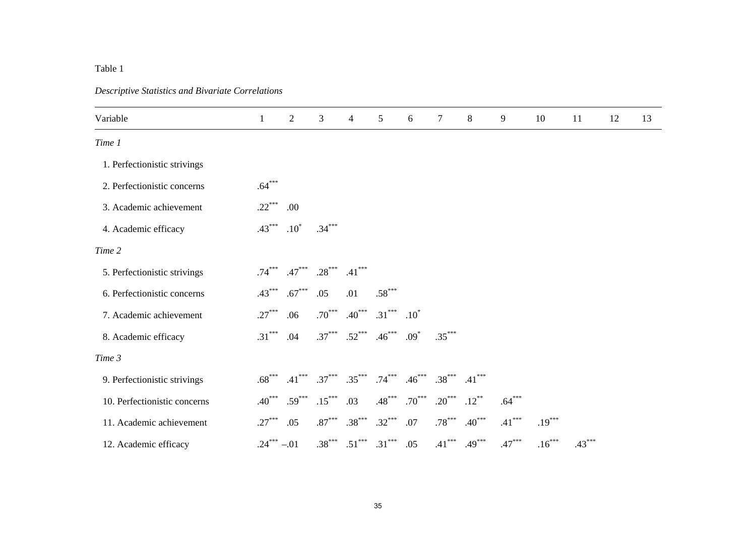#### Table 1

#### *Descriptive Statistics and Bivariate Correlations*

| Variable                     | $\mathbf{1}$ | $\overline{2}$ | 3        | 4        | 5        | 6        | $\tau$   | 8        | 9        | 10       | 11       | 12 | 13 |
|------------------------------|--------------|----------------|----------|----------|----------|----------|----------|----------|----------|----------|----------|----|----|
| Time 1                       |              |                |          |          |          |          |          |          |          |          |          |    |    |
| 1. Perfectionistic strivings |              |                |          |          |          |          |          |          |          |          |          |    |    |
| 2. Perfectionistic concerns  | $.64***$     |                |          |          |          |          |          |          |          |          |          |    |    |
| 3. Academic achievement      | $.22***$     | .00            |          |          |          |          |          |          |          |          |          |    |    |
| 4. Academic efficacy         | $.43***$     | $.10*$         | $.34***$ |          |          |          |          |          |          |          |          |    |    |
| Time 2                       |              |                |          |          |          |          |          |          |          |          |          |    |    |
| 5. Perfectionistic strivings | $.74***$     | $.47***$       | $.28***$ | $.41***$ |          |          |          |          |          |          |          |    |    |
| 6. Perfectionistic concerns  | $.43***$     | $.67***$       | .05      | .01      | $.58***$ |          |          |          |          |          |          |    |    |
| 7. Academic achievement      | $.27***$     | .06            | $.70***$ | $.40***$ | $.31***$ | $.10^*$  |          |          |          |          |          |    |    |
| 8. Academic efficacy         | $.31***$     | .04            | $.37***$ | $.52***$ | $.46***$ | $.09*$   | $.35***$ |          |          |          |          |    |    |
| Time 3                       |              |                |          |          |          |          |          |          |          |          |          |    |    |
| 9. Perfectionistic strivings | $.68***$     | $.41***$       | $.37***$ | $.35***$ | $.74***$ | $.46***$ | $.38***$ | $.41***$ |          |          |          |    |    |
| 10. Perfectionistic concerns | $.40***$     | $.59***$       | $.15***$ | .03      | $.48***$ | $.70***$ | $.20***$ | $.12***$ | $.64***$ |          |          |    |    |
| 11. Academic achievement     | $.27***$     | .05            | $.87***$ | $.38***$ | $.32***$ | $.07$    | $.78***$ | $.40***$ | $.41***$ | $.19***$ |          |    |    |
| 12. Academic efficacy        | $.24***-.01$ |                | $.38***$ | $.51***$ | $.31***$ | .05      | $.41***$ | $.49***$ | $.47***$ | $.16***$ | $.43***$ |    |    |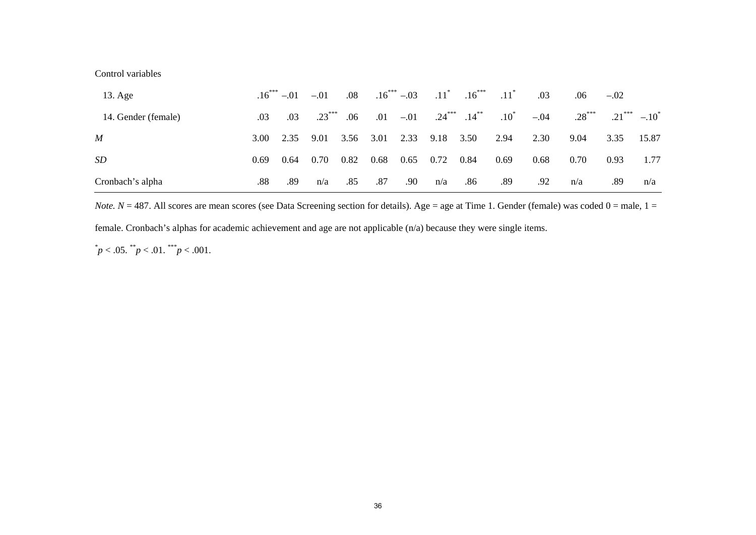#### Control variables

| $13. \text{Age}$    |      | $.16***-.01$ | $-.01$   | $.08\,$ | $.16***-.03$ |        |                   | $.11^*$ $.16^{***}$ | $.11^*$ | .03    | .06      | $-.02$   |          |
|---------------------|------|--------------|----------|---------|--------------|--------|-------------------|---------------------|---------|--------|----------|----------|----------|
| 14. Gender (female) | .03  | .03          | $.23***$ | .06     | .01          | $-.01$ | $.24***$ $.14***$ |                     | $.10^*$ | $-.04$ | $.28***$ | $.21***$ | $-.10^*$ |
| $\boldsymbol{M}$    | 3.00 | 2.35         | 9.01     | 3.56    | 3.01         | 2.33   | 9.18              | 3.50                | 2.94    | 2.30   | 9.04     | 3.35     | 15.87    |
| <i>SD</i>           | 0.69 | 0.64         | 0.70     | 0.82    | 0.68         | 0.65   | 0.72              | 0.84                | 0.69    | 0.68   | 0.70     | 0.93     | 1.77     |
| Cronbach's alpha    | .88  | .89          | n/a      | .85     | .87          | .90    | n/a               | .86                 | .89     | .92    | n/a      | .89      | n/a      |

*Note.*  $N = 487$ . All scores are mean scores (see Data Screening section for details). Age = age at Time 1. Gender (female) was coded  $0 =$  male,  $1 =$ 

female. Cronbach's alphas for academic achievement and age are not applicable (n/a) because they were single items.

 $p < .05.$  \*\*p $< .01.$ \*\*\*p $< .001.$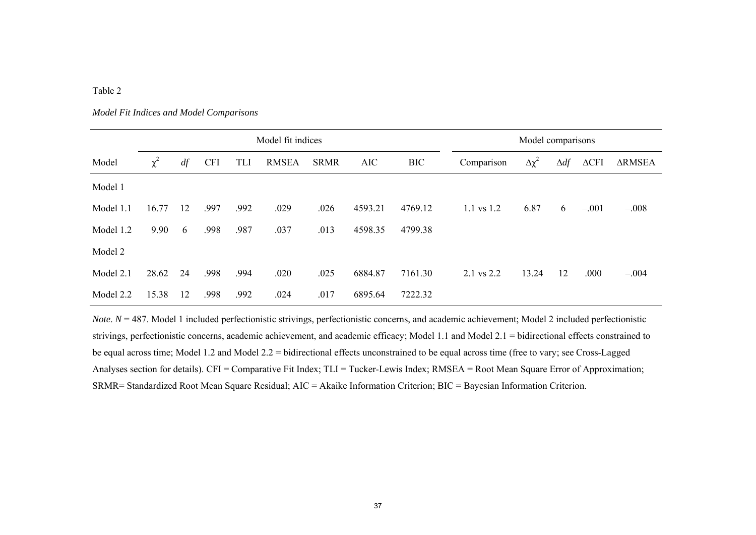#### Table 2

#### *Model Fit Indices and Model Comparisons*

|           | Model fit indices |    |            |      |              |             |            |            |                | Model comparisons |             |                    |               |  |  |  |  |
|-----------|-------------------|----|------------|------|--------------|-------------|------------|------------|----------------|-------------------|-------------|--------------------|---------------|--|--|--|--|
| Model     | $\chi^2$          | df | <b>CFI</b> | TLI  | <b>RMSEA</b> | <b>SRMR</b> | <b>AIC</b> | <b>BIC</b> | Comparison     | $\Delta \chi^2$   | $\Delta df$ | $\Delta\text{CFI}$ | <b>ARMSEA</b> |  |  |  |  |
| Model 1   |                   |    |            |      |              |             |            |            |                |                   |             |                    |               |  |  |  |  |
| Model 1.1 | 16.77             | 12 | .997       | .992 | .029         | .026        | 4593.21    | 4769.12    | $1.1$ vs $1.2$ | 6.87              | 6           | $-.001$            | $-.008$       |  |  |  |  |
| Model 1.2 | 9.90              | 6  | .998       | .987 | .037         | .013        | 4598.35    | 4799.38    |                |                   |             |                    |               |  |  |  |  |
| Model 2   |                   |    |            |      |              |             |            |            |                |                   |             |                    |               |  |  |  |  |
| Model 2.1 | 28.62             | 24 | .998       | .994 | .020         | .025        | 6884.87    | 7161.30    | 2.1 vs 2.2     | 13.24             | 12          | .000               | $-.004$       |  |  |  |  |
| Model 2.2 | 15.38             | 12 | .998       | .992 | .024         | .017        | 6895.64    | 7222.32    |                |                   |             |                    |               |  |  |  |  |

*Note*.  $N = 487$ . Model 1 included perfectionistic strivings, perfectionistic concerns, and academic achievement; Model 2 included perfectionistic strivings, perfectionistic concerns, academic achievement, and academic efficacy; Model 1.1 and Model 2.1 = bidirectional effects constrained to be equal across time; Model 1.2 and Model 2.2 = bidirectional effects unconstrained to be equal across time (free to vary; see Cross-Lagged Analyses section for details). CFI = Comparative Fit Index; TLI = Tucker-Lewis Index; RMSEA = Root Mean Square Error of Approximation; SRMR= Standardized Root Mean Square Residual; AIC = Akaike Information Criterion; BIC = Bayesian Information Criterion.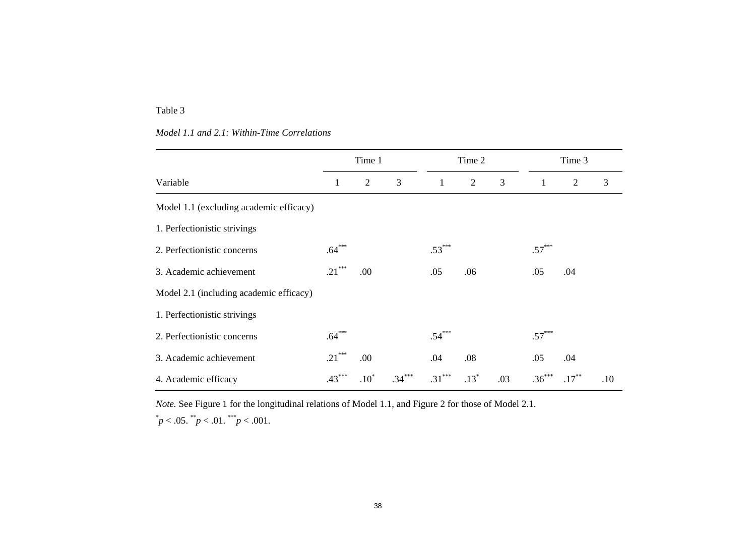#### Table 3

#### *Model 1.1 and 2.1: Within-Time Correlations*

|                                         |          | Time 1         |             |          | Time 2         |     |              | Time 3       |     |  |
|-----------------------------------------|----------|----------------|-------------|----------|----------------|-----|--------------|--------------|-----|--|
| Variable                                | 1        | $\overline{2}$ | 3           | 1        | $\overline{2}$ | 3   | $\mathbf{1}$ | $\mathbf{2}$ | 3   |  |
| Model 1.1 (excluding academic efficacy) |          |                |             |          |                |     |              |              |     |  |
| 1. Perfectionistic strivings            |          |                |             |          |                |     |              |              |     |  |
| 2. Perfectionistic concerns             | $.64***$ |                |             | $.53***$ |                |     | $.57***$     |              |     |  |
| 3. Academic achievement                 | $.21***$ | .00            |             | .05      | .06            |     | .05          | .04          |     |  |
| Model 2.1 (including academic efficacy) |          |                |             |          |                |     |              |              |     |  |
| 1. Perfectionistic strivings            |          |                |             |          |                |     |              |              |     |  |
| 2. Perfectionistic concerns             | $.64***$ |                |             | $.54***$ |                |     | $.57***$     |              |     |  |
| 3. Academic achievement                 | $.21***$ | .00            |             | .04      | .08            |     | .05          | .04          |     |  |
| 4. Academic efficacy                    | $.43***$ | $.10*$         | $.34^\circ$ | $.31***$ | $.13*$         | .03 | $.36***$     | $.17***$     | .10 |  |

*Note.* See Figure 1 for the longitudinal relations of Model 1.1, and Figure 2 for those of Model 2.1.  $p^* p < .05.$   $\binom{p}{p} < .01.$   $\binom{p}{p} < .001.$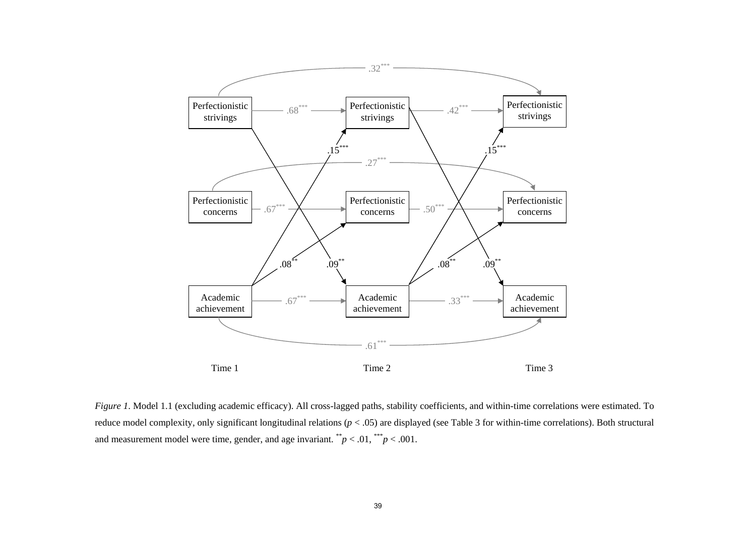

*Figure 1*. Model 1.1 (excluding academic efficacy). All cross-lagged paths, stability coefficients, and within-time correlations were estimated. To reduce model complexity, only significant longitudinal relations (*p* < .05) are displayed (see Table 3 for within-time correlations). Both structural and measurement model were time, gender, and age invariant.  $\sqrt{*p} < .01, \sqrt{**p} < .001$ .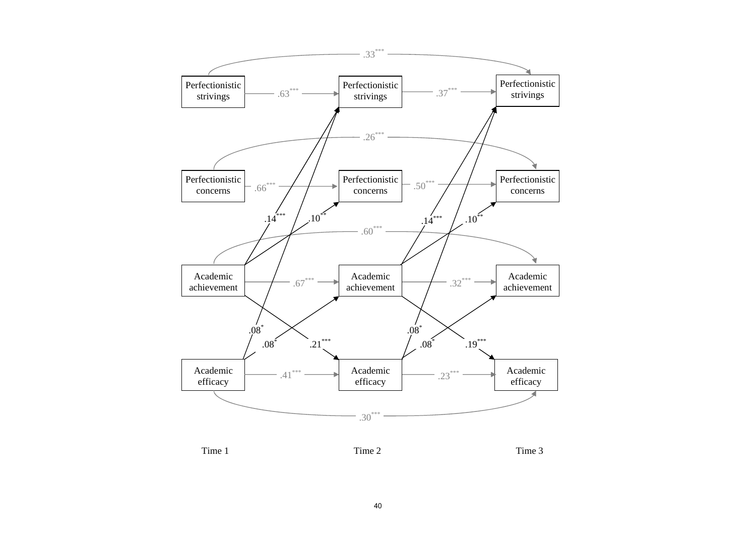





Time 1 Time 2 Time 3